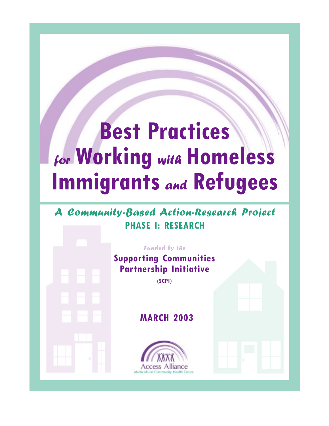# **Best Practices** for **Working** with **Homeless Immigrants** and **Refugees**

# A Community-Based Action-Research Project **PHASE I: RESEARCH**

| Suppo<br>Part |   |  |  |
|---------------|---|--|--|
|               |   |  |  |
|               |   |  |  |
|               |   |  |  |
|               |   |  |  |
|               |   |  |  |
|               | I |  |  |
|               |   |  |  |

Funded by the **Supporting Communities Partnership Initiative (SCPI)**

# **MARCH 2003**

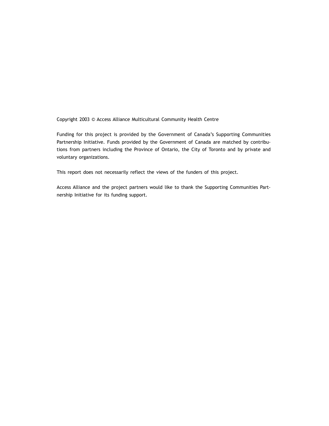Copyright 2003 © Access Alliance Multicultural Community Health Centre

Funding for this project is provided by the Government of Canada's Supporting Communities Partnership Initiative. Funds provided by the Government of Canada are matched by contributions from partners including the Province of Ontario, the City of Toronto and by private and voluntary organizations.

This report does not necessarily reflect the views of the funders of this project.

Access Alliance and the project partners would like to thank the Supporting Communities Partnership Initiative for its funding support.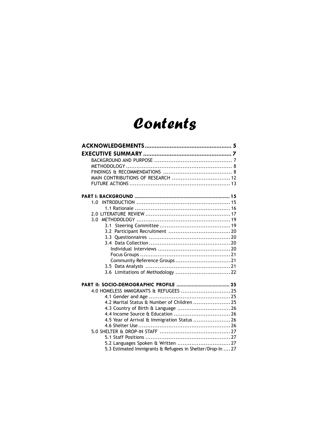# Contents

| MAIN CONTRIBUTIONS OF RESEARCH  12                         |  |
|------------------------------------------------------------|--|
|                                                            |  |
|                                                            |  |
|                                                            |  |
|                                                            |  |
|                                                            |  |
|                                                            |  |
|                                                            |  |
|                                                            |  |
|                                                            |  |
|                                                            |  |
|                                                            |  |
|                                                            |  |
|                                                            |  |
|                                                            |  |
| 3.6 Limitations of Methodology  22                         |  |
|                                                            |  |
| 4.0 HOMELESS IMMIGRANTS & REFUGEES  25                     |  |
|                                                            |  |
| 4.2 Marital Status & Number of Children  25                |  |
| 4.3 Country of Birth & Language  26                        |  |
|                                                            |  |
| 4.5 Year of Arrival & Immigration Status  26               |  |
|                                                            |  |
|                                                            |  |
|                                                            |  |
| 5.3 Estimated Immigrants & Refugees in Shelter/Drop-In  27 |  |
|                                                            |  |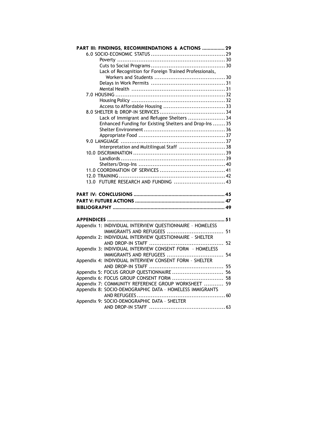| Lack of Recognition for Foreign Trained Professionals,<br>Lack of Immigrant and Refugee Shelters  34<br>Enhanced Funding for Existing Shelters and Drop-Ins  35<br>Interpretation and Multilingual Staff  38<br>13.0 FUTURE RESEARCH AND FUNDING  43<br>Appendix 1: INDIVIDUAL INTERVIEW QUESTIONNAIRE - HOMELESS<br>Appendix 2: INDIVIDUAL INTERVIEW QUESTIONNAIRE - SHELTER<br>Appendix 3: INDIVIDUAL INTERVIEW CONSENT FORM - HOMELESS<br>Appendix 4: INDIVIDUAL INTERVIEW CONSENT FORM - SHELTER<br>Appendix 5: FOCUS GROUP QUESTIONNAIRE  56<br>Appendix 6: FOCUS GROUP CONSENT FORM  58<br>Appendix 7: COMMUNITY REFERENCE GROUP WORKSHEET  59<br>Appendix 8: SOCIO-DEMOGRAPHIC DATA - HOMELESS IMMIGRANTS<br>Appendix 9: SOCIO-DEMOGRAPHIC DATA - SHELTER | PART III: FINDINGS, RECOMMENDATIONS & ACTIONS  29 |  |
|------------------------------------------------------------------------------------------------------------------------------------------------------------------------------------------------------------------------------------------------------------------------------------------------------------------------------------------------------------------------------------------------------------------------------------------------------------------------------------------------------------------------------------------------------------------------------------------------------------------------------------------------------------------------------------------------------------------------------------------------------------------|---------------------------------------------------|--|
|                                                                                                                                                                                                                                                                                                                                                                                                                                                                                                                                                                                                                                                                                                                                                                  |                                                   |  |
|                                                                                                                                                                                                                                                                                                                                                                                                                                                                                                                                                                                                                                                                                                                                                                  |                                                   |  |
|                                                                                                                                                                                                                                                                                                                                                                                                                                                                                                                                                                                                                                                                                                                                                                  |                                                   |  |
|                                                                                                                                                                                                                                                                                                                                                                                                                                                                                                                                                                                                                                                                                                                                                                  |                                                   |  |
|                                                                                                                                                                                                                                                                                                                                                                                                                                                                                                                                                                                                                                                                                                                                                                  |                                                   |  |
|                                                                                                                                                                                                                                                                                                                                                                                                                                                                                                                                                                                                                                                                                                                                                                  |                                                   |  |
|                                                                                                                                                                                                                                                                                                                                                                                                                                                                                                                                                                                                                                                                                                                                                                  |                                                   |  |
|                                                                                                                                                                                                                                                                                                                                                                                                                                                                                                                                                                                                                                                                                                                                                                  |                                                   |  |
|                                                                                                                                                                                                                                                                                                                                                                                                                                                                                                                                                                                                                                                                                                                                                                  |                                                   |  |
|                                                                                                                                                                                                                                                                                                                                                                                                                                                                                                                                                                                                                                                                                                                                                                  |                                                   |  |
|                                                                                                                                                                                                                                                                                                                                                                                                                                                                                                                                                                                                                                                                                                                                                                  |                                                   |  |
|                                                                                                                                                                                                                                                                                                                                                                                                                                                                                                                                                                                                                                                                                                                                                                  |                                                   |  |
|                                                                                                                                                                                                                                                                                                                                                                                                                                                                                                                                                                                                                                                                                                                                                                  |                                                   |  |
|                                                                                                                                                                                                                                                                                                                                                                                                                                                                                                                                                                                                                                                                                                                                                                  |                                                   |  |
|                                                                                                                                                                                                                                                                                                                                                                                                                                                                                                                                                                                                                                                                                                                                                                  |                                                   |  |
|                                                                                                                                                                                                                                                                                                                                                                                                                                                                                                                                                                                                                                                                                                                                                                  |                                                   |  |
|                                                                                                                                                                                                                                                                                                                                                                                                                                                                                                                                                                                                                                                                                                                                                                  |                                                   |  |
|                                                                                                                                                                                                                                                                                                                                                                                                                                                                                                                                                                                                                                                                                                                                                                  |                                                   |  |
|                                                                                                                                                                                                                                                                                                                                                                                                                                                                                                                                                                                                                                                                                                                                                                  |                                                   |  |
|                                                                                                                                                                                                                                                                                                                                                                                                                                                                                                                                                                                                                                                                                                                                                                  |                                                   |  |
|                                                                                                                                                                                                                                                                                                                                                                                                                                                                                                                                                                                                                                                                                                                                                                  |                                                   |  |
|                                                                                                                                                                                                                                                                                                                                                                                                                                                                                                                                                                                                                                                                                                                                                                  |                                                   |  |
|                                                                                                                                                                                                                                                                                                                                                                                                                                                                                                                                                                                                                                                                                                                                                                  |                                                   |  |
|                                                                                                                                                                                                                                                                                                                                                                                                                                                                                                                                                                                                                                                                                                                                                                  |                                                   |  |
|                                                                                                                                                                                                                                                                                                                                                                                                                                                                                                                                                                                                                                                                                                                                                                  |                                                   |  |
|                                                                                                                                                                                                                                                                                                                                                                                                                                                                                                                                                                                                                                                                                                                                                                  |                                                   |  |
|                                                                                                                                                                                                                                                                                                                                                                                                                                                                                                                                                                                                                                                                                                                                                                  |                                                   |  |
|                                                                                                                                                                                                                                                                                                                                                                                                                                                                                                                                                                                                                                                                                                                                                                  |                                                   |  |
|                                                                                                                                                                                                                                                                                                                                                                                                                                                                                                                                                                                                                                                                                                                                                                  |                                                   |  |
|                                                                                                                                                                                                                                                                                                                                                                                                                                                                                                                                                                                                                                                                                                                                                                  |                                                   |  |
|                                                                                                                                                                                                                                                                                                                                                                                                                                                                                                                                                                                                                                                                                                                                                                  |                                                   |  |
|                                                                                                                                                                                                                                                                                                                                                                                                                                                                                                                                                                                                                                                                                                                                                                  |                                                   |  |
|                                                                                                                                                                                                                                                                                                                                                                                                                                                                                                                                                                                                                                                                                                                                                                  |                                                   |  |
|                                                                                                                                                                                                                                                                                                                                                                                                                                                                                                                                                                                                                                                                                                                                                                  |                                                   |  |
|                                                                                                                                                                                                                                                                                                                                                                                                                                                                                                                                                                                                                                                                                                                                                                  |                                                   |  |
|                                                                                                                                                                                                                                                                                                                                                                                                                                                                                                                                                                                                                                                                                                                                                                  |                                                   |  |
|                                                                                                                                                                                                                                                                                                                                                                                                                                                                                                                                                                                                                                                                                                                                                                  |                                                   |  |
|                                                                                                                                                                                                                                                                                                                                                                                                                                                                                                                                                                                                                                                                                                                                                                  |                                                   |  |
|                                                                                                                                                                                                                                                                                                                                                                                                                                                                                                                                                                                                                                                                                                                                                                  |                                                   |  |
|                                                                                                                                                                                                                                                                                                                                                                                                                                                                                                                                                                                                                                                                                                                                                                  |                                                   |  |
|                                                                                                                                                                                                                                                                                                                                                                                                                                                                                                                                                                                                                                                                                                                                                                  |                                                   |  |
|                                                                                                                                                                                                                                                                                                                                                                                                                                                                                                                                                                                                                                                                                                                                                                  |                                                   |  |
|                                                                                                                                                                                                                                                                                                                                                                                                                                                                                                                                                                                                                                                                                                                                                                  |                                                   |  |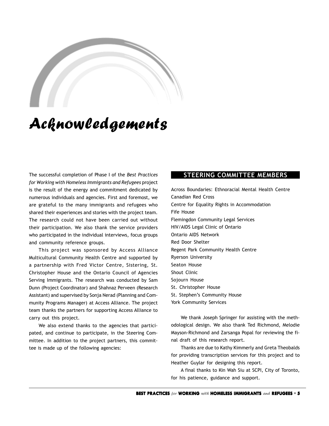# Acknowledgements

The successful completion of Phase I of the *Best Practices for Working with Homeless Immigrants and Refugees* project is the result of the energy and commitment dedicated by numerous individuals and agencies. First and foremost, we are grateful to the many immigrants and refugees who shared their experiences and stories with the project team. The research could not have been carried out without their participation. We also thank the service providers who participated in the individual interviews, focus groups and community reference groups.

This project was sponsored by Access Alliance Multicultural Community Health Centre and supported by a partnership with Fred Victor Centre, Sistering, St. Christopher House and the Ontario Council of Agencies Serving Immigrants. The research was conducted by Sam Dunn (Project Coordinator) and Shahnaz Perveen (Research Assistant) and supervised by Sonja Nerad (Planning and Community Programs Manager) at Access Alliance. The project team thanks the partners for supporting Access Alliance to carry out this project.

We also extend thanks to the agencies that participated, and continue to participate, in the Steering Committee. In addition to the project partners, this committee is made up of the following agencies:

# **STEERING COMMITTEE MEMBERS**

Across Boundaries: Ethnoracial Mental Health Centre Canadian Red Cross Centre for Equality Rights in Accommodation Fife House Flemingdon Community Legal Services HIV/AIDS Legal Clinic of Ontario Ontario AIDS Network Red Door Shelter Regent Park Community Health Centre Ryerson University Seaton House Shout Clinic Sojourn House St. Christopher House St. Stephen's Community House York Community Services

We thank Joseph Springer for assisting with the methodological design. We also thank Ted Richmond, Melodie Mayson-Richmond and Zarsanga Popal for reviewing the final draft of this research report.

Thanks are due to Kathy Kimmerly and Greta Theobalds for providing transcription services for this project and to Heather Guylar for designing this report.

A final thanks to Kin Wah Siu at SCPI, City of Toronto, for his patience, guidance and support.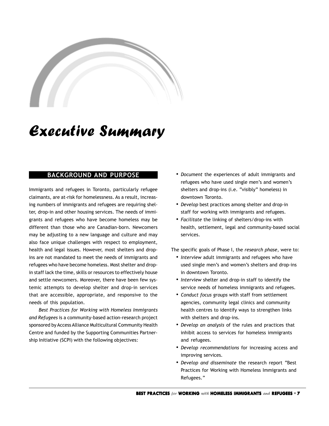# <span id="page-6-0"></span>**A**

# Executive Summary

# **BACKGROUND AND PURPOSE**

Immigrants and refugees in Toronto, particularly refugee claimants, are at-risk for homelessness. As a result, increasing numbers of immigrants and refugees are requiring shelter, drop-in and other housing services. The needs of immigrants and refugees who have become homeless may be different than those who are Canadian-born. Newcomers may be adjusting to a new language and culture and may also face unique challenges with respect to employment, health and legal issues. However, most shelters and dropins are not mandated to meet the needs of immigrants and refugees who have become homeless. Most shelter and dropin staff lack the time, skills or resources to effectively house and settle newcomers. Moreover, there have been few systemic attempts to develop shelter and drop-in services that are accessible, appropriate, and responsive to the needs of this population.

*Best Practices for Working with Homeless Immigrants and Refugees* is a community-based action-research project sponsored by Access Alliance Multicultural Community Health Centre and funded by the Supporting Communities Partnership Initiative (SCPI) with the following objectives:

- *• Document* the experiences of adult immigrants and refugees who have used single men's and women's shelters and drop-ins (i.e. "visibly" homeless) in downtown Toronto.
- *• Develop* best practices among shelter and drop-in staff for working with immigrants and refugees.
- *• Facilitate* the linking of shelters/drop-ins with health, settlement, legal and community-based social services.

The specific goals of Phase I, the *research phase*, were to:

- *• Interview* adult immigrants and refugees who have used single men's and women's shelters and drop-ins in downtown Toronto.
- *• Interview* shelter and drop-in staff to identify the service needs of homeless immigrants and refugees.
- *• Conduct focus groups* with staff from settlement agencies, community legal clinics and community health centres to identify ways to strengthen links with shelters and drop-ins.
- *• Develop an analysis* of the rules and practices that inhibit access to services for homeless immigrants and refugees.
- *• Develop recommendations* for increasing access and improving services.
- *• Develop and disseminate* the research report "Best Practices for Working with Homeless Immigrants and Refugees."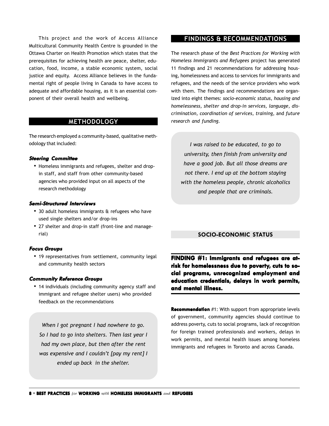<span id="page-7-0"></span>This project and the work of Access Alliance Multicultural Community Health Centre is grounded in the Ottawa Charter on Health Promotion which states that the prerequisites for achieving health are peace, shelter, education, food, income, a stable economic system, social justice and equity. Access Alliance believes in the fundamental right of people living in Canada to have access to adequate and affordable housing, as it is an essential component of their overall health and wellbeing.

## **METHODOLOGY**

The research employed a community-based, qualitative methodology that included:

#### **Steering Committee**

• Homeless immigrants and refugees, shelter and dropin staff, and staff from other community-based agencies who provided input on all aspects of the research methodology

#### **Semi-Structured Interviews**

- 30 adult homeless immigrants & refugees who have used single shelters and/or drop-ins
- 27 shelter and drop-in staff (front-line and managerial)

#### **Focus Groups**

• 19 representatives from settlement, community legal and community health sectors

#### **Community Reference Groups**

• 14 individuals (including community agency staff and immigrant and refugee shelter users) who provided feedback on the recommendations

*When I got pregnant I had nowhere to go. So I had to go into shelters. Then last year I had my own place, but then after the rent was expensive and I couldn't [pay my rent] I ended up back in the shelter.*

## **FINDINGS & RECOMMENDATIONS**

The research phase of the *Best Practices for Working with Homeless Immigrants and Refugees* project has generated 11 findings and 21 recommendations for addressing housing, homelessness and access to services for immigrants and refugees, and the needs of the service providers who work with them. The findings and recommendations are organized into eight themes: *socio-economic status, housing and homelessness, shelter and drop-in services, language, discrimination, coordination of services, training,* and *future research and funding.*

*I was raised to be educated, to go to university, then finish from university and have a good job. But all those dreams are not there. I end up at the bottom staying with the homeless people, chronic alcoholics and people that are criminals.*

#### **SOCIO-ECONOMIC STATUS**

**FINDING #1: Immigrants and refugees are atrisk for homelessness due to poverty, cuts to so- cuts social pr cial programs, unrecognized employment and education cr tion credentials, delays in work permits, and mental illness. and illness.**

**Recommendation** #1: With support from appropriate levels of government, community agencies should continue to address poverty, cuts to social programs, lack of recognition for foreign trained professionals and workers, delays in work permits, and mental health issues among homeless immigrants and refugees in Toronto and across Canada.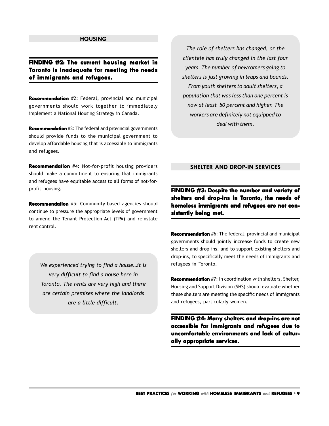#### **HOUSING**

# <span id="page-8-0"></span>**FINDING FINDING #2: The current housing market in Toronto is inadequate for meeting the needs of immigrants and refugees. immigrants and**

**Recommendation** #2: Federal, provincial and municipal governments should work together to immediately implement a National Housing Strategy in Canada.

**Recommendation** #3: The federal and provincial governments should provide funds to the municipal government to develop affordable housing that is accessible to immigrants and refugees.

**Recommendation** #4: Not-for-profit housing providers should make a commitment to ensuring that immigrants and refugees have equitable access to all forms of not-forprofit housing.

**Recommendation** #5: Community-based agencies should continue to pressure the appropriate levels of government to amend the Tenant Protection Act (TPA) and reinstate rent control.

*We experienced trying to find a house…it is very difficult to find a house here in Toronto. The rents are very high and there are certain premises where the landlords are a little difficult.*

*The role of shelters has changed, or the clientele has truly changed in the last four years. The number of newcomers going to shelters is just growing in leaps and bounds. From youth shelters to adult shelters, a population that was less than one percent is now at least 50 percent and higher. The workers are definitely not equipped to deal with them.*

## **SHELTER AND DROP-IN SERVICES**

**FINDING #3: Despite the number and variety of** shelters and drop-ins in Toronto, the needs of **homeless immigrants and refugees are not con- homeless and refugees not consistently being met. sistently being met.**

**Recommendation** #6: The federal, provincial and municipal governments should jointly increase funds to create new shelters and drop-ins, and to support existing shelters and drop-ins, to specifically meet the needs of immigrants and refugees in Toronto.

**Recommendation** #7: In coordination with shelters, Shelter, Housing and Support Division (SHS) should evaluate whether these shelters are meeting the specific needs of immigrants and refugees, particularly women.

**FINDING #4: Many shelters and drop-ins are not accessible for immigrants and refugees due to uncomfortable environments and lack of culturally appropriate services. ally services.**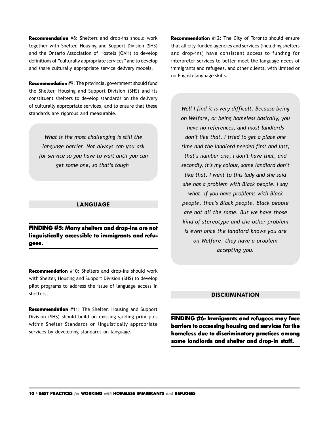**Recommendation** #8: Shelters and drop-ins should work together with Shelter, Housing and Support Division (SHS) and the Ontario Association of Hostels (OAH) to develop definitions of "culturally appropriate services" and to develop and share culturally appropriate service delivery models.

**Recommendation** #9: The provincial government should fund the Shelter, Housing and Support Division (SHS) and its constituent shelters to develop standards on the delivery of culturally appropriate services, and to ensure that these standards are rigorous and measurable.

*What is the most challenging is still the language barrier. Not always can you ask for service so you have to wait until you can get some one, so that's tough.*

#### **LANGUAGE**

**FINDING #5: Many shelters and drop-ins are not linguistically accessible to immigrants and refu- accessible to and refugees.**

**Recommendation** #10: Shelters and drop-ins should work with Shelter, Housing and Support Division (SHS) to develop pilot programs to address the issue of language access in shelters.

**Recommendation** #11: The Shelter, Housing and Support Division (SHS) should build on existing guiding principles within Shelter Standards on linguistically appropriate services by developing standards on language.

**Recommendation** #12: The City of Toronto should ensure that all city-funded agencies and services (including shelters and drop-ins) have consistent access to funding for interpreter services to better meet the language needs of immigrants and refugees, and other clients, with limited or no English language skills.

*Well I find it is very difficult. Because being on Welfare, or being homeless basically, you have no references, and most landlords don't like that. I tried to get a place one time and the landlord needed first and last, that's number one, I don't have that, and secondly, it's my colour, some landlord don't like that. I went to this lady and she said she has a problem with Black people. I say what, if you have problems with Black people, that's Black people. Black people are not all the same. But we have those kind of stereotype and the other problem is even once the landlord knows you are on Welfare, they have a problem accepting you.*

#### **DISCRIMINATION**

**FINDING #6: FINDING #6: Immigrants and refugees may face barriers to accessing housing and services for the homeless due to discriminatory practices among** some landlords and shelter and drop-in staff.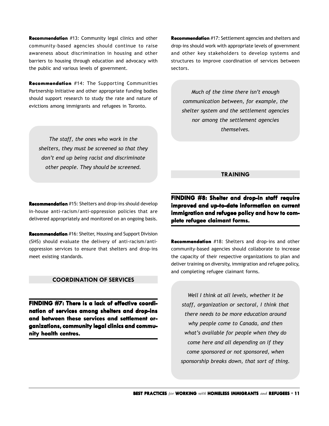**Recommendation** #13: Community legal clinics and other community-based agencies should continue to raise awareness about discrimination in housing and other barriers to housing through education and advocacy with the public and various levels of government.

**Recommendation** #14: The Supporting Communities Partnership Initiative and other appropriate funding bodies should support research to study the rate and nature of evictions among immigrants and refugees in Toronto.

*The staff, the ones who work in the shelters, they must be screened so that they don't end up being racist and discriminate other people. They should be screened.*

**Recommendation** #15: Shelters and drop-ins should develop in-house anti-racism/anti-oppression policies that are delivered appropriately and monitored on an ongoing basis.

**Recommendation** #16: Shelter, Housing and Support Division (SHS) should evaluate the delivery of anti-racism/antioppression services to ensure that shelters and drop-ins meet existing standards.

#### **COORDINATION OF SERVICES**

**FINDING #7: There is a lack of effective coordination of services among shelters and drop-ins** and between these services and settlement or**ganizations, community legal clinics and commu- ganizations, community clinics and community health centres. centres.**

**Recommendation** #17: Settlement agencies and shelters and drop-ins should work with appropriate levels of government and other key stakeholders to develop systems and structures to improve coordination of services between sectors.

*Much of the time there isn't enough communication between, for example, the shelter system and the settlement agencies nor among the settlement agencies themselves.*

# **TRAINING**

**FINDING #8: Shelter and drop-in staff require improved and up-to-date information on current improved and up-to-date information immigration and refugee policy and how to com- immigration and and how to complete refugee claimant forms. plete** 

**Recommendation** #18: Shelters and drop-ins and other community-based agencies should collaborate to increase the capacity of their respective organizations to plan and deliver training on diversity, immigration and refugee policy, and completing refugee claimant forms.

*Well I think at all levels, whether it be staff, organization or sectoral, I think that there needs to be more education around why people come to Canada, and then what's available for people when they do come here and all depending on if they come sponsored or not sponsored, when sponsorship breaks down, that sort of thing.*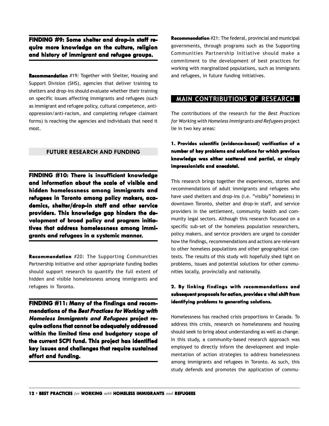**FINDING #9: Some shelter and drop-in staff require more knowledge on the culture, religion and history of immigrant and refugee groups. and refugee groups.**

**Recommendation** #19: Together with Shelter, Housing and Support Division (SHS), agencies that deliver training to shelters and drop-ins should evaluate whether their training on specific issues affecting immigrants and refugees (such as immigrant and refugee policy, cultural competence, antioppression/anti-racism, and completing refugee claimant forms) is reaching the agencies and individuals that need it most.

#### **FUTURE RESEARCH AND FUNDING**

**FINDING #10: #10: There is insufficient knowledge and information about the scale of visible and hidden homelessness among immigrants and refugees in Toronto among policy makers, academics, shelter/drop-in staff and other service providers. This knowledge gap hinders the de- This knowledge hinders development of broad policy and program initia- of policy and program initiatives that address homelessness among immi- that address among immi**grants and refugees in a systemic manner.

**Recommendation** #20: The Supporting Communities Partnership Initiative and other appropriate funding bodies should support research to quantify the full extent of hidden and visible homelessness among immigrants and refugees in Toronto.

**FINDING #11: Many of the findings and recommendations of the Best Practices for Working with Homeless Immigrants and Refugees project require actions that cannot be adequately addressed within the limited time and budgetary scope of scope of the current SCPI fund. This project has identified key issues and challenges that require sustained effort and funding.**

**Recommendation** #21: The federal, provincial and municipal governments, through programs such as the Supporting Communities Partnership Initiative should make a commitment to the development of best practices for working with marginalized populations, such as immigrants and refugees, in future funding initiatives.

# **MAIN CONTRIBUTIONS OF RESEARCH**

The contributions of the research for the *Best Practices for Working with Homeless Immigrants and Refugees* project lie in two key areas:

# **1. Provides scientific (evidence-based) verification of tion of a number of umber of key problems and solutions f lems and for which previous** knowledge was either scattered and partial, or simply **impressionistic and anecdotal. essionistic and anecdotal.**

This research brings together the experiences, stories and recommendations of adult immigrants and refugees who have used shelters and drop-ins (i.e. "visibly" homeless) in downtown Toronto, shelter and drop-in staff, and service providers in the settlement, community health and community legal sectors. Although this research focussed on a specific sub-set of the homeless population researchers, policy makers, and service providers are urged to consider how the findings, recommendations and actions are relevant to other homeless populations and other geographical contexts. The results of this study will hopefully shed light on problems, issues and potential solutions for other communities locally, provincially and nationally.

## **2. By linking findings with recommendations and subsequent pr subsequent proposals f oposals for action, or action, provides a vital shift fr vides vital from identifying pr identifying problems to generating solutions.**

Homelessness has reached crisis proportions in Canada. To address this crisis, research on homelessness and housing should seek to bring about understanding as well as change. In this study, a community-based research approach was employed to directly inform the development and implementation of action strategies to address homelessness among immigrants and refugees in Toronto. As such, this study defends and promotes the application of commu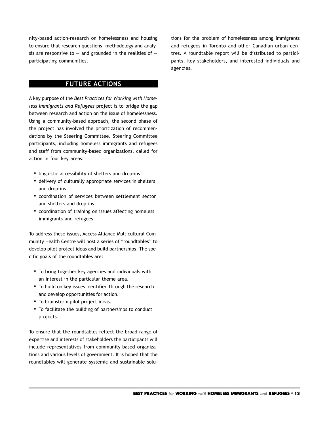<span id="page-12-0"></span>nity-based action-research on homelessness and housing to ensure that research questions, methodology and analysis are responsive to  $-$  and grounded in the realities of  $$ participating communities.

**FUTURE ACTIONS**

A key purpose of the *Best Practices for Working with Homeless Immigrants and Refugees* project is to bridge the gap between research and action on the issue of homelessness. Using a community-based approach, the second phase of the project has involved the prioritization of recommendations by the Steering Committee. Steering Committee participants, including homeless immigrants and refugees and staff from community-based organizations, called for action in four key areas:

- linguistic accessibility of shelters and drop-ins
- delivery of culturally appropriate services in shelters and drop-ins
- coordination of services between settlement sector and shelters and drop-ins
- coordination of training on issues affecting homeless immigrants and refugees

To address these issues, Access Alliance Multicultural Community Health Centre will host a series of "roundtables" to develop pilot project ideas and build partnerships. The specific goals of the roundtables are:

- To bring together key agencies and individuals with an interest in the particular theme area.
- To build on key issues identified through the research and develop opportunities for action.
- To brainstorm pilot project ideas.
- To facilitate the building of partnerships to conduct projects.

To ensure that the roundtables reflect the broad range of expertise and interests of stakeholders the participants will include representatives from community-based organizations and various levels of government. It is hoped that the roundtables will generate systemic and sustainable solutions for the problem of homelessness among immigrants and refugees in Toronto and other Canadian urban centres. A roundtable report will be distributed to participants, key stakeholders, and interested individuals and agencies.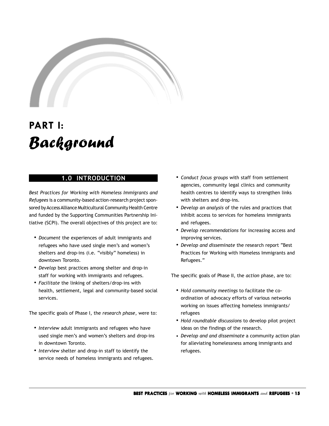<span id="page-14-0"></span>

# **PART I:** Background

# **1.0 INTRODUCTION**

*Best Practices for Working with Homeless Immigrants and Refugees* is a community-based action-research project sponsored by Access Alliance Multicultural Community Health Centre and funded by the Supporting Communities Partnership Initiative (SCPI). The overall objectives of this project are to:

- *• Document* the experiences of adult immigrants and refugees who have used single men's and women's shelters and drop-ins (i.e. "visibly" homeless) in downtown Toronto.
- *• Develop* best practices among shelter and drop-in staff for working with immigrants and refugees.
- *• Facilitate* the linking of shelters/drop-ins with health, settlement, legal and community-based social services.

The specific goals of Phase I, the *research phase*, were to:

- *• Interview* adult immigrants and refugees who have used single men's and women's shelters and drop-ins in downtown Toronto.
- *• Interview* shelter and drop-in staff to identify the service needs of homeless immigrants and refugees.
- *• Conduct focus groups* with staff from settlement agencies, community legal clinics and community health centres to identify ways to strengthen links with shelters and drop-ins.
- *• Develop an analysis* of the rules and practices that inhibit access to services for homeless immigrants and refugees.
- *• Develop recommendations* for increasing access and improving services.
- *• Develop and disseminate* the research report "Best Practices for Working with Homeless Immigrants and Refugees."

The specific goals of Phase II, the *action* phase, are to:

- *• Hold community meetings* to facilitate the coordination of advocacy efforts of various networks working on issues affecting homeless immigrants/ refugees
- *• Hold roundtable discussions* to develop pilot project ideas on the findings of the research.
- *Develop and and disseminate* a community action plan for alleviating homelessness among immigrants and refugees.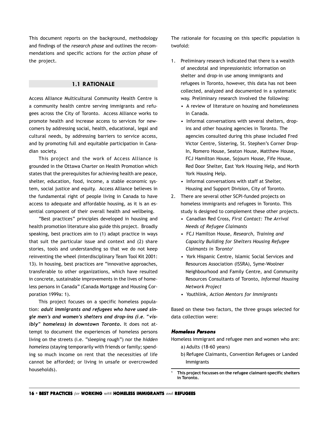<span id="page-15-0"></span>This document reports on the background, methodology and findings of the *research phase* and outlines the recommendations and specific actions for the *action phase* of the project.

#### **1.1 RATIONALE**

Access Alliance Multicultural Community Health Centre is a community health centre serving immigrants and refugees across the City of Toronto. Access Alliance works to promote health and increase access to services for newcomers by addressing social, health, educational, legal and cultural needs, by addressing barriers to service access, and by promoting full and equitable participation in Canadian society.

This project and the work of Access Alliance is grounded in the Ottawa Charter on Health Promotion which states that the prerequisites for achieving health are peace, shelter, education, food, income, a stable economic system, social justice and equity. Access Alliance believes in the fundamental right of people living in Canada to have access to adequate and affordable housing, as it is an essential component of their overall health and wellbeing.

"Best practices" principles developed in housing and health promotion literature also guide this project. Broadly speaking, best practices aim to (1) adapt practice in ways that suit the particular issue and context and (2) share stories, tools and understanding so that we do not keep reinventing the wheel (Interdisciplinary Team Tool Kit 2001: 13). In housing, best practices are "innovative approaches, transferable to other organizations, which have resulted in concrete, sustainable improvements in the lives of homeless persons in Canada" (Canada Mortgage and Housing Corporation 1999a: 1).

This project focuses on a specific homeless population: *adult immigrants and refugees who have used single men's and women's shelters and drop-ins (i.e. "visibly" homeless) in downtown Toronto***.** It does not attempt to document the experiences of homeless persons living on the streets (i.e. "sleeping rough") nor the *hidden homeless* (staying temporarily with friends or family; spending so much income on rent that the necessities of life cannot be afforded; or living in unsafe or overcrowded households).

The rationale for focussing on this specific population is twofold:

- 1. Preliminary research indicated that there is a wealth of anecdotal and impressionistic information on shelter and drop-in use among immigrants and refugees in Toronto, however, this data has not been collected, analyzed and documented in a systematic way. Preliminary research involved the following:
	- A review of literature on housing and homelessness in Canada.
	- Informal conversations with several shelters, dropins and other housing agencies in Toronto. The agencies consulted during this phase included Fred Victor Centre, Sistering, St. Stephen's Corner Drop-In, Romero House, Seaton House, Matthew House, FCJ Hamilton House, Sojourn House, Fife House, Red Door Shelter, East York Housing Help, and North York Housing Help.
	- Informal conversations with staff at Shelter, Housing and Support Division, City of Toronto.
- 2. There are several other SCPI-funded projects on homeless immigrants and refugees in Toronto. This study is designed to complement these other projects.
	- Canadian Red Cross, *First Contact: The Arrival Needs of Refugee Claimants*
	- FCJ Hamilton House, *Research, Training and Capacity Building for Shelters Housing Refugee Claimants in Toronto*<sup>1</sup>
	- York Hispanic Centre, Islamic Social Services and Resources Association (ISSRA), Syme-Woolner Neighbourhood and Family Centre, and Community Resources Consultants of Toronto, *Informal Housing Network Project*
	- Youthlink, *Action Mentors for Immigrants*

Based on these two factors, the three groups selected for data collection were:

#### **Homeless Persons**

Homeless immigrant and refugee men and women who are:

- a) Adults (18-60 years)
- b) Refugee Claimants, Convention Refugees or Landed Immigrants

**<sup>1</sup> This project focusses on the refugee claimant-specific shelters in Toronto.**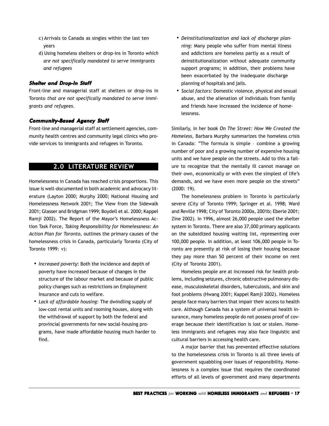- <span id="page-16-0"></span>c) Arrivals to Canada as singles within the last ten years
- d) Using homeless shelters or drop-ins in Toronto *which are not specifically mandated to serve immigrants and refugees*

#### **Shelter and Drop-In Staff**

Front-line and managerial staff at shelters or drop-ins in Toronto *that are not specifically mandated to serve immigrants and refugees.*

#### **Community-Based Agency Staff**

Front-line and managerial staff at settlement agencies, community health centres and community legal clinics who provide services to immigrants and refugees in Toronto.

# **2.0 LITERATURE REVIEW**

Homelessness in Canada has reached crisis proportions. This issue is well-documented in both academic and advocacy literature (Layton 2000; Murphy 2000; National Housing and Homelessness Network 2001; The View from the Sidewalk 2001; Glasser and Bridgman 1999; Boydell et al. 2000; Kappel Ramji 2002). The Report of the Mayor's Homelessness Action Task Force, *Taking Responsibility for Homelessness: An Action Plan for Toronto,* outlines the primary causes of the homelessness crisis in Canada, particularly Toronto (City of Toronto 1999: v):

- *• Increased poverty*: Both the incidence and depth of poverty have increased because of changes in the structure of the labour market and because of public policy changes such as restrictions on Employment Insurance and cuts to welfare.
- *• Lack of affordable housing*: The dwindling supply of low-cost rental units and rooming houses, along with the withdrawal of support by both the federal and provincial governments for new social-housing programs, have made affordable housing much harder to find.
- *• Deinstitutionalization and lack of discharge planning*: Many people who suffer from mental illness and addictions are homeless partly as a result of deinstitutionalization without adequate community support programs; in addition, their problems have been exacerbated by the inadequate discharge planning of hospitals and jails.
- *• Social factors*: Domestic violence, physical and sexual abuse, and the alienation of individuals from family and friends have increased the incidence of homelessness.

Similarly, in her book *On The Street: How We Created the Homeless,* Barbara Murphy summarizes the homeless crisis in Canada: "The formula is simple – combine a growing number of poor and a growing number of expensive housing units and we have people on the streets. Add to this a failure to recognize that the mentally ill cannot manage on their own, economically or with even the simplest of life's demands, and we have even more people on the streets" (2000: 19).

The homelessness problem in Toronto is particularly severe (City of Toronto 1999; Springer et al. 1998; Ward and Reville 1998; City of Toronto 2000a, 2001b; Eberle 2001; Zine 2002). In 1996, almost 26,000 people used the shelter system in Toronto. There are also 37,000 primary applicants on the subsidized housing waiting list, representing over 100,000 people. In addition, at least 106,000 people in Toronto are presently at risk of losing their housing because they pay more than 50 percent of their income on rent (City of Toronto 2001).

Homeless people are at increased risk for health problems, including seizures, chronic obstructive pulmonary disease, musculoskeletal disorders, tuberculosis, and skin and foot problems (Hwang 2001; Kappel Ramji 2002). Homeless people face many barriers that impair their access to health care. Although Canada has a system of universal health insurance, many homeless people do not possess proof of coverage because their identification is lost or stolen. Homeless immigrants and refugees may also face linguistic and cultural barriers in accessing health care.

A major barrier that has prevented effective solutions to the homelessness crisis in Toronto is all three levels of government squabbling over issues of responsibility. Homelessness is a complex issue that requires the coordinated efforts of all levels of government and many departments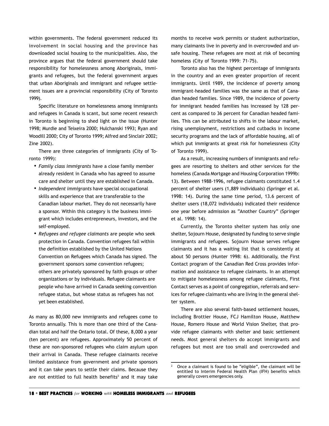within governments. The federal government reduced its involvement in social housing and the province has downloaded social housing to the municipalities. Also, the province argues that the federal government should take responsibility for homelessness among Aboriginals, immigrants and refugees, but the federal government argues that urban Aboriginals and immigrant and refugee settlement issues are a provincial responsibility (City of Toronto 1999).

Specific literature on homelessness among immigrants and refugees in Canada is scant, but some recent research in Toronto is beginning to shed light on the issue (Hunter 1998; Murdie and Teixeira 2000; Hulchanski 1993; Ryan and Woodill 2000; City of Toronto 1999; Alfred and Sinclair 2002; Zine 2002).

There are three categories of immigrants (City of Toronto 1999):

- *• Family class immigrants* have a close family member already resident in Canada who has agreed to assume care and shelter until they are established in Canada.
- *• Independent immigrants* have special occupational skills and experience that are transferable to the Canadian labour market. They do not necessarily have a sponsor. Within this category is the business immigrant which includes entrepreneurs, investors, and the self-employed.
- *• Refugees and refugee claimants* are people who seek protection in Canada. Convention refugees fall within the definition established by the United Nations Convention on Refugees which Canada has signed. The government sponsors some convention refugees; others are privately sponsored by faith groups or other organizations or by individuals. Refugee claimants are people who have arrived in Canada seeking convention refugee status, but whose status as refugees has not yet been established.

As many as 80,000 new immigrants and refugees come to Toronto annually. This is more than one third of the Canadian total and half the Ontario total. Of these, 8,000 a year (ten percent) are refugees. Approximately 50 percent of these are non-sponsored refugees who claim asylum upon their arrival in Canada. These refugee claimants receive limited assistance from government and private sponsors and it can take years to settle their claims. Because they are not entitled to full health benefits<sup>2</sup> and it may take

months to receive work permits or student authorization, many claimants live in poverty and in overcrowded and unsafe housing. These refugees are most at risk of becoming homeless (City of Toronto 1999: 71-75).

Toronto also has the highest percentage of immigrants in the country and an even greater proportion of recent immigrants. Until 1989, the incidence of poverty among immigrant-headed families was the same as that of Canadian headed families. Since 1989, the incidence of poverty for immigrant headed families has increased by 128 percent as compared to 36 percent for Canadian headed families. This can be attributed to shifts in the labour market, rising unemployment, restrictions and cutbacks in income security programs and the lack of affordable housing, all of which put immigrants at great risk for homelessness (City of Toronto 1999).

As a result, increasing numbers of immigrants and refugees are resorting to shelters and other services for the homeless (Canada Mortgage and Housing Corporation 1999b: 13). Between 1988-1996, refugee claimants constituted 1.4 percent of shelter users (1,889 individuals) (Springer et al. 1998: 14). During the same time period, 13.6 percent of shelter users (18,072 individuals) indicated their residence one year before admission as "Another Country" (Springer et al. 1998: 14).

Currently, the Toronto shelter system has only one shelter, Sojourn House, designated by funding to serve single immigrants and refugees. Sojourn House serves refugee claimants and it has a waiting list that is consistently at about 50 persons (Hunter 1998: 6). Additionally, the First Contact program of the Canadian Red Cross provides information and assistance to refugee claimants. In an attempt to mitigate homelessness among refugee claimants, First Contact serves as a point of congregation, referrals and services for refugee claimants who are living in the general shelter system.

There are also several faith-based settlement houses, including Brottier House, FCJ Hamilton House, Matthew House, Romero House and World Vision Shelter, that provide refugee claimants with shelter and basic settlement needs. Most general shelters do accept immigrants and refugees but most are too small and overcrowded and

 $2$  Once a claimant is found to be "eligible", the claimant will be entitled to Interim Federal Health Plan (IFH) benefits which generally covers emergencies only.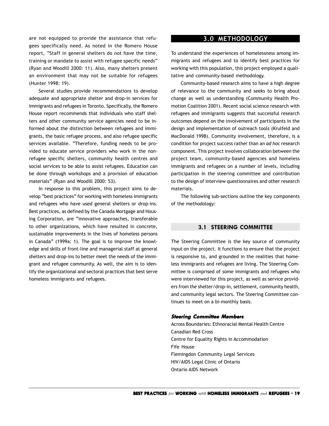are not equipped to provide the assistance that refugees specifically need. As noted in the Romero House report, "Staff in general shelters do not have the time, training or mandate to assist with refugee specific needs" (Ryan and Woodill 2000: 11). Also, many shelters present an environment that may not be suitable for refugees (Hunter 1998: 19).

Several studies provide recommendations to develop adequate and appropriate shelter and drop-in services for immigrants and refugees in Toronto. Specifically, the Romero House report recommends that individuals who staff shelters and other community service agencies need to be informed about the distinction between refugees and immigrants, the basic refugee process, and also refugee specific services available. "Therefore, funding needs to be provided to educate service providers who work in the nonrefugee specific shelters, community health centres and social services to be able to assist refugees. Education can be done through workshops and a provision of education materials" (Ryan and Woodill 2000: 53).

In response to this problem, this project aims to develop "best practices" for working with homeless immigrants and refugees who have used general shelters or drop-ins. Best practices, as defined by the Canada Mortgage and Housing Corporation, are "innovative approaches, transferable to other organizations, which have resulted in concrete, sustainable improvements in the lives of homeless persons in Canada" (1999a: 1). The goal is to improve the knowledge and skills of front-line and managerial staff at general shelters and drop-ins to better meet the needs of the immigrant and refugee community. As well, the aim is to identify the organizational and sectoral practices that best serve homeless immigrants and refugees.

# **3.0 METHODOLOGY**

To understand the experiences of homelessness among immigrants and refugees and to identify best practices for working with this population, this project employed a qualitative and community-based methodology.

Community-based research aims to have a high degree of relevance to the community and seeks to bring about change as well as understanding (Community Health Promotion Coalition 2001). Recent social science research with refugees and immigrants suggests that successful research outcomes depend on the involvement of participants in the design and implementation of outreach tools (Krulfeld and MacDonald 1998). Community involvement, therefore, is a condition for project success rather than an *ad hoc* research component. This project involves collaboration between the project team, community-based agencies and homeless immigrants and refugees on a number of levels, including participation in the steering committee and contribution to the design of interview questionnaires and other research materials.

The following sub-sections outline the key components of the methodology:

#### **3.1 STEERING COMMITTEE**

The Steering Committee is the key source of community input on the project. It functions to ensure that the project is responsive to, and grounded in the realities that homeless immigrants and refugees are living. The Steering Committee is comprised of some immigrants and refugees who were interviewed for this project, as well as service providers from the shelter/drop-in, settlement, community health, and community legal sectors. The Steering Committee continues to meet on a bi-monthly basis.

#### **Steering Committee Members**

Across Boundaries: Ethnoracial Mental Health Centre Canadian Red Cross Centre for Equality Rights in Accommodation Fife House Flemingdon Community Legal Services HIV/AIDS Legal Clinic of Ontario Ontario AIDS Network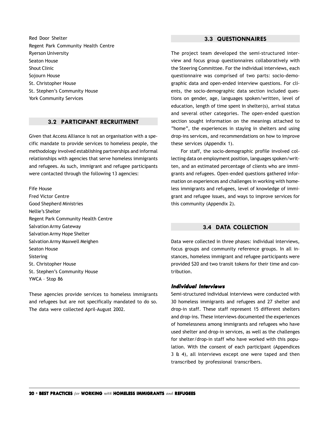<span id="page-19-0"></span>Red Door Shelter Regent Park Community Health Centre Ryerson University Seaton House Shout Clinic Sojourn House St. Christopher House St. Stephen's Community House York Community Services

#### **3.2 PARTICIPANT RECRUITMENT**

Given that Access Alliance is not an organisation with a specific mandate to provide services to homeless people, the methodology involved establishing partnerships and informal relationships with agencies that serve homeless immigrants and refugees. As such, immigrant and refugee participants were contacted through the following 13 agencies:

Fife House Fred Victor Centre Good Shepherd Ministries Nellie's Shelter Regent Park Community Health Centre Salvation Army Gateway Salvation Army Hope Shelter Salvation Army Maxwell Meighen Seaton House Sistering St. Christopher House St. Stephen's Community House YWCA – Stop 86

These agencies provide services to homeless immigrants and refugees but are not specifically mandated to do so. The data were collected April-August 2002.

#### **3.3 QUESTIONNAIRES**

The project team developed the semi-structured interview and focus group questionnaires collaboratively with the Steering Committee. For the individual interviews, each questionnaire was comprised of two parts: socio-demographic data and open-ended interview questions. For clients, the socio-demographic data section included questions on gender, age, languages spoken/written, level of education, length of time spent in shelter(s), arrival status and several other categories. The open-ended question section sought information on the meanings attached to "home", the experiences in staying in shelters and using drop-ins services, and recommendations on how to improve these services (Appendix 1).

For staff, the socio-demographic profile involved collecting data on employment position, languages spoken/written, and an estimated percentage of clients who are immigrants and refugees. Open-ended questions gathered information on experiences and challenges in working with homeless immigrants and refugees, level of knowledge of immigrant and refugee issues, and ways to improve services for this community (Appendix 2).

#### **3.4 DATA COLLECTION**

Data were collected in three phases: individual interviews, focus groups and community reference groups. In all instances, homeless immigrant and refugee participants were provided \$20 and two transit tokens for their time and contribution.

#### **Individual Interviews**

Semi-structured individual interviews were conducted with 30 homeless immigrants and refugees and 27 shelter and drop-in staff. These staff represent 15 different shelters and drop-ins. These interviews documented the experiences of homelessness among immigrants and refugees who have used shelter and drop-in services, as well as the challenges for shelter/drop-in staff who have worked with this population. With the consent of each participant (Appendices 3 & 4), all interviews except one were taped and then transcribed by professional transcribers.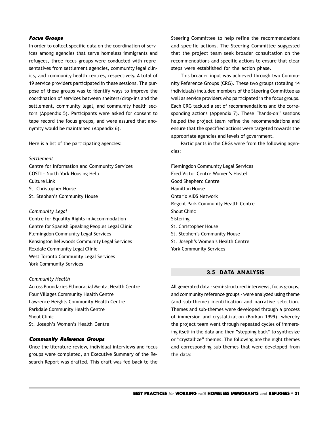#### <span id="page-20-0"></span>**Focus Groups**

In order to collect specific data on the coordination of services among agencies that serve homeless immigrants and refugees, three focus groups were conducted with representatives from settlement agencies, community legal clinics, and community health centres, respectively. A total of 19 service providers participated in these sessions. The purpose of these groups was to identify ways to improve the coordination of services between shelters/drop-ins and the settlement, community legal, and community health sectors (Appendix 5). Participants were asked for consent to tape record the focus groups, and were assured that anonymity would be maintained (Appendix 6).

Here is a list of the participating agencies:

#### *Settlement*

Centre for Information and Community Services COSTI – North York Housing Help Culture Link St. Christopher House St. Stephen's Community House

#### *Community Legal*

Centre for Equality Rights in Accommodation Centre for Spanish Speaking Peoples Legal Clinic Flemingdon Community Legal Services Kensington Bellwoods Community Legal Services Rexdale Community Legal Clinic West Toronto Community Legal Services York Community Services

#### *Community Health*

Across Boundaries Ethnoracial Mental Health Centre Four Villages Community Health Centre Lawrence Heights Community Health Centre Parkdale Community Health Centre Shout Clinic St. Joseph's Women's Health Centre

#### **Community Reference Groups**

Once the literature review, individual interviews and focus groups were completed, an Executive Summary of the Research Report was drafted. This draft was fed back to the

Steering Committee to help refine the recommendations and specific actions. The Steering Committee suggested that the project team seek broader consultation on the recommendations and specific actions to ensure that clear steps were established for the action phase.

This broader input was achieved through two Community Reference Groups (CRG). These two groups (totaling 14 individuals) included members of the Steering Committee as well as service providers who participated in the focus groups. Each CRG tackled a set of recommendations and the corresponding actions (Appendix 7). These "hands-on" sessions helped the project team refine the recommendations and ensure that the specified actions were targeted towards the appropriate agencies and levels of government.

Participants in the CRGs were from the following agencies:

Flemingdon Community Legal Services Fred Victor Centre Women's Hostel Good Shepherd Centre Hamilton House Ontario AIDS Network Regent Park Community Health Centre Shout Clinic Sistering St. Christopher House St. Stephen's Community House St. Joseph's Women's Health Centre York Community Services

## **3.5 DATA ANALYSIS**

All generated data - semi-structured interviews, focus groups, and community reference groups - were analyzed using theme (and sub-theme) identification and narrative selection. Themes and sub-themes were developed through a process of immersion and crystallization (Borkan 1999), whereby the project team went through repeated cycles of immersing itself in the data and then "stepping back" to synthesize or "crystallize" themes. The following are the eight themes and corresponding sub-themes that were developed from the data: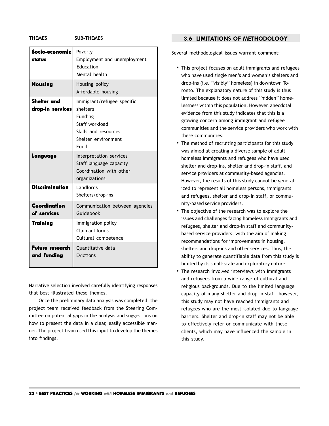<span id="page-21-0"></span>**THEMES SUB-THEMES**

| Socio-economic<br>status               | Poverty<br>Employment and unemployment<br>Education<br>Mental health                                                       |
|----------------------------------------|----------------------------------------------------------------------------------------------------------------------------|
| <b>Housing</b>                         | Housing policy<br>Affordable housing                                                                                       |
| <b>Shelter and</b><br>drop-in services | Immigrant/refugee specific<br>shelters<br>Funding<br>Staff workload<br>Skills and resources<br>Shelter environment<br>Food |
| Langvage                               | Interpretation services<br>Staff language capacity<br>Coordination with other<br>organizations                             |
| <b>Discrimination</b>                  | Landlords<br>Shelters/drop-ins                                                                                             |
| Coordination<br>of services            | Communication between agencies<br>Guidebook                                                                                |
| <b>Training</b>                        | Immigration policy<br><b>Claimant forms</b><br>Cultural competence                                                         |
| <b>Future research</b><br>and funding  | Quantitative data<br>Evictions                                                                                             |

Narrative selection involved carefully identifying responses that best illustrated these themes.

Once the preliminary data analysis was completed, the project team received feedback from the Steering Committee on potential gaps in the analysis and suggestions on how to present the data in a clear, easily accessible manner. The project team used this input to develop the themes into findings.

#### **3.6 LIMITATIONS OF METHODOLOGY**

Several methodological issues warrant comment:

- This project focuses on adult immigrants and refugees who have used single men's and women's shelters and drop-ins (i.e. "visibly" homeless) in downtown Toronto. The explanatory nature of this study is thus limited because it does not address "hidden" homelessness within this population. However, anecdotal evidence from this study indicates that this is a growing concern among immigrant and refugee communities and the service providers who work with these communities.
- The method of recruiting participants for this study was aimed at creating a diverse sample of adult homeless immigrants and refugees who have used shelter and drop-ins, shelter and drop-in staff, and service providers at community-based agencies. However, the results of this study cannot be generalized to represent all homeless persons, immigrants and refugees, shelter and drop-in staff, or community-based service providers.
- The objective of the research was to explore the issues and challenges facing homeless immigrants and refugees, shelter and drop-in staff and communitybased service providers, with the aim of making recommendations for improvements in housing, shelters and drop-ins and other services. Thus, the ability to generate quantifiable data from this study is limited by its small-scale and exploratory nature.
- The research involved interviews with immigrants and refugees from a wide range of cultural and religious backgrounds. Due to the limited language capacity of many shelter and drop-in staff, however, this study may not have reached immigrants and refugees who are the most isolated due to language barriers. Shelter and drop-in staff may not be able to effectively refer or communicate with these clients, which may have influenced the sample in this study.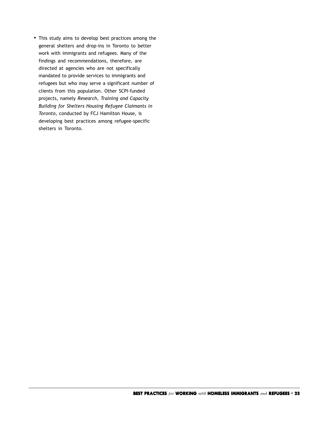<span id="page-22-0"></span>• This study aims to develop best practices among the general shelters and drop-ins in Toronto to better work with immigrants and refugees. Many of the findings and recommendations, therefore, are directed at agencies who are not specifically mandated to provide services to immigrants and refugees but who may serve a significant number of clients from this population. Other SCPI-funded projects, namely *Research, Training and Capacity Building for Shelters Housing Refugee Claimants in Toronto*, conducted by FCJ Hamilton House, is developing best practices among refugee-specific shelters in Toronto.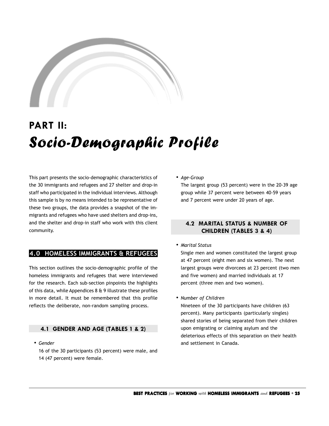

# **PART II:** Socio-Demographic Profile

This part presents the socio-demographic characteristics of the 30 immigrants and refugees and 27 shelter and drop-in staff who participated in the individual interviews. Although this sample is by no means intended to be representative of these two groups, the data provides a snapshot of the immigrants and refugees who have used shelters and drop-ins, and the shelter and drop-in staff who work with this client community.

## **4.0 HOMELESS IMMIGRANTS & REFUGEES**

This section outlines the socio-demographic profile of the homeless immigrants and refugees that were interviewed for the research. Each sub-section pinpoints the highlights of this data, while Appendices 8 & 9 illustrate these profiles in more detail. It must be remembered that this profile reflects the deliberate, non-random sampling process.

#### **4.1 GENDER AND AGE (TABLES 1 & 2)**

*• Gender*

16 of the 30 participants (53 percent) were male, and 14 (47 percent) were female.

*• Age-Group*

The largest group (53 percent) were in the 20-39 age group while 37 percent were between 40-59 years and 7 percent were under 20 years of age.

## **4.2 MARITAL STATUS & NUMBER OF CHILDREN (TABLES 3 & 4)**

*• Marital Status*

Single men and women constituted the largest group at 47 percent (eight men and six women). The next largest groups were divorcees at 23 percent (two men and five women) and married individuals at 17 percent (three men and two women).

*• Number of Children*

Nineteen of the 30 participants have children (63 percent). Many participants (particularly singles) shared stories of being separated from their children upon emigrating or claiming asylum and the deleterious effects of this separation on their health and settlement in Canada.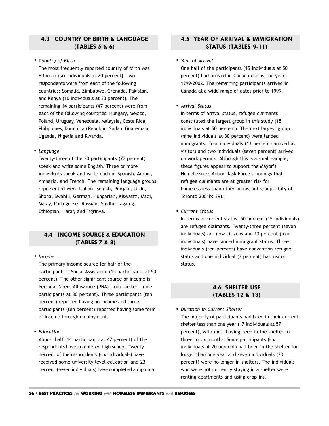# <span id="page-25-0"></span>**4.3 COUNTRY OF BIRTH & LANGUAGE (TABLES 5 & 6)**

#### *• Country of Birth*

The most frequently reported country of birth was Ethiopia (six individuals at 20 percent). Two respondents were from each of the following countries: Somalia, Zimbabwe, Grenada, Pakistan, and Kenya (10 individuals at 33 percent). The remaining 14 participants (47 percent) were from each of the following countries: Hungary, Mexico, Poland, Uruguay, Venezuela, Malaysia, Costa Rica, Philippines, Dominican Republic, Sudan, Guatemala, Uganda, Nigeria and Rwanda.

#### *• Language*

Twenty-three of the 30 participants (77 percent) speak and write some English. Three or more individuals speak and write each of Spanish, Arabic, Amharic, and French. The remaining language groups represented were Italian, Somali, Punjabi, Urdu, Shona, Swahili, German, Hungarian, Kiswatiti, Madi, Malay, Portuguese, Russian, Sindhi, Tagalog, Ethiopian, Harar, and Tigrinya.

# **4.4 INCOME SOURCE & EDUCATION (TABLES 7 & 8)**

#### *• Income*

The primary income source for half of the participants is Social Assistance (15 participants at 50 percent). The other significant source of income is Personal Needs Allowance (PNA) from shelters (nine participants at 30 percent). Three participants (ten percent) reported having no income and three participants (ten percent) reported having some form of income through employment.

*• Education*

Almost half (14 participants at 47 percent) of the respondents have completed high school. Twentypercent of the respondents (six individuals) have received some university-level education and 23 percent (seven individuals) have completed a diploma.

# **4.5 YEAR OF ARRIVAL & IMMIGRATION STATUS (TABLES 9-11)**

#### *• Year of Arrival*

One half of the participants (15 individuals at 50 percent) had arrived in Canada during the years 1999-2002. The remaining participants arrived in Canada at a wide range of dates prior to 1999.

#### *• Arrival Status*

In terms of arrival status, refugee claimants constituted the largest group in this study (15 individuals at 50 percent). The next largest group (nine individuals at 30 percent) were landed immigrants. Four individuals (13 percent) arrived as visitors and two individuals (seven percent) arrived on work permits. Although this is a small sample, these figures appear to support the Mayor's Homelessness Action Task Force's findings that refugee claimants are at greater risk for homelessness than other immigrant groups (City of Toronto 2001b: 39).

*• Current Status*

In terms of current status, 50 percent (15 individuals) are refugee claimants. Twenty-three percent (seven individuals) are now citizens and 13 percent (four individuals) have landed immigrant status. Three individuals (ten percent) have convention refugee status and one individual (3 percent) has visitor status.

#### **4.6 SHELTER USE (TABLES 12 & 13)**

*• Duration in Current Shelter* The majority of participants had been in their current shelter less than one year (17 individuals at 57 percent), with most having been in the shelter for three to six months. Some participants (six individuals at 20 percent) had been in the shelter for longer than one year and seven individuals (23 percent) were no longer in shelters. The individuals who were not currently staying in a shelter were renting apartments and using drop-ins.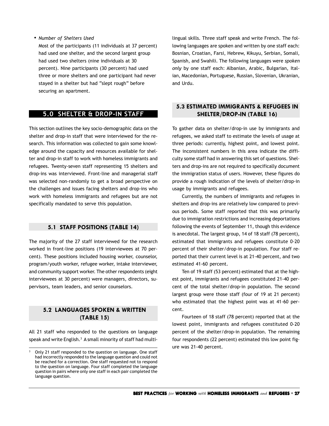<span id="page-26-0"></span>*• Number of Shelters Used*

Most of the participants (11 individuals at 37 percent) had used one shelter, and the second largest group had used two shelters (nine individuals at 30 percent). Nine participants (30 percent) had used three or more shelters and one participant had never stayed in a shelter but had "slept rough" before securing an apartment.

#### **5.0 SHELTER & DROP-IN STAFF**

This section outlines the key socio-demographic data on the shelter and drop-in staff that were interviewed for the research. This information was collected to gain some knowledge around the capacity and resources available for shelter and drop-in staff to work with homeless immigrants and refugees. Twenty-seven staff representing 15 shelters and drop-ins was interviewed. Front-line and managerial staff was selected non-randomly to get a broad perspective on the challenges and issues facing shelters and drop-ins who work with homeless immigrants and refugees but are not specifically mandated to serve this population.

#### **5.1 STAFF POSITIONS (TABLE 14)**

The majority of the 27 staff interviewed for the research worked in front-line positions (19 interviewees at 70 percent). These positions included housing worker, counselor, program/youth worker, refugee worker, intake interviewer, and community support worker. The other respondents (eight interviewees at 30 percent) were managers, directors, supervisors, team leaders, and senior counselors.

# **5.2 LANGUAGES SPOKEN & WRITTEN (TABLE 15)**

All 21 staff who responded to the questions on language speak and write English.<sup>3</sup> A small minority of staff had multilingual skills. Three staff speak and write French. The following languages are spoken and written by one staff each: Bosnian, Croatian, Farsi, Hebrew, Kikuyu, Serbian, Somali, Spanish, and Swahili. The following languages were *spoken only* by one staff each: Albanian, Arabic, Bulgarian, Italian, Macedonian, Portuguese, Russian, Slovenian, Ukranian, and Urdu.

## **5.3 ESTIMATED IMMIGRANTS & REFUGEES IN SHELTER/DROP-IN (TABLE 16)**

To gather data on shelter/drop-in use by immigrants and refugees, we asked staff to estimate the levels of usage at three periods: currently, highest point, and lowest point. The inconsistent numbers in this area indicate the difficulty some staff had in answering this set of questions. Shelters and drop-ins are not required to specifically document the immigration status of users. However, these figures do provide a rough indication of the levels of shelter/drop-in usage by immigrants and refugees.

Currently, the numbers of immigrants and refugees in shelters and drop-ins are relatively low compared to previous periods. Some staff reported that this was primarily due to immigration restrictions and increasing deportations following the events of September 11, though this evidence is anecdotal. The largest group, 14 of 18 staff (78 percent), estimated that immigrants and refugees constitute 0-20 percent of their shelter/drop-in population. Four staff reported that their current level is at 21-40 percent, and two estimated 41-60 percent.

Ten of 19 staff (53 percent) estimated that at the highest point, immigrants and refugees constituted 21-40 percent of the total shelter/drop-in population. The second largest group were those staff (four of 19 at 21 percent) who estimated that the highest point was at 41-60 percent.

Fourteen of 18 staff (78 percent) reported that at the lowest point, immigrants and refugees constituted 0-20 percent of the shelter/drop-in population. The remaining four respondents (22 percent) estimated this low point figure was 21-40 percent.

<sup>3</sup> Only 21 staff responded to the question on language. One staff had incorrectly responded to the language question and could not be reached for a correction. One staff requested not to respond to the question on language. Four staff completed the language question in pairs where only one staff in each pair completed the language question.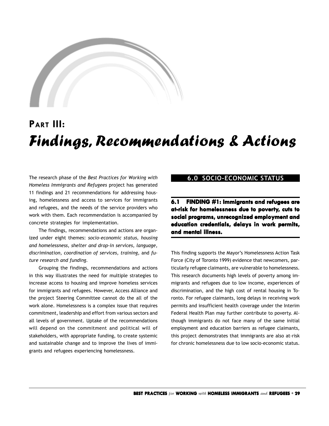<span id="page-28-0"></span>

# **PART III:** Findings, Recommendations & Actions

The research phase of the *Best Practices for Working with Homeless Immigrants and Refugees* project has generated 11 findings and 21 recommendations for addressing housing, homelessness and access to services for immigrants and refugees, and the needs of the service providers who work with them. Each recommendation is accompanied by concrete strategies for implementation.

The findings, recommendations and actions are organized under eight themes: *socio-economic status, housing and homelessness, shelter and drop-in services, language, discrimination, coordination of services, training,* and *future research and funding.*

Grouping the findings, recommendations and actions in this way illustrates the need for multiple strategies to increase access to housing and improve homeless services for immigrants and refugees. However, Access Alliance and the project Steering Committee cannot do the all of the work alone. Homelessness is a complex issue that requires commitment, leadership and effort from various sectors and all levels of government. Uptake of the recommendations will depend on the commitment and political will of stakeholders, with appropriate funding, to create systemic and sustainable change and to improve the lives of immigrants and refugees experiencing homelessness.

# **6.0 SOCIO-ECONOMIC STATUS**

**6.1 FINDING #1: FINDING #1: Immigrants and refugees are at-risk f t-risk for homelessness due to poverty, cuts to social programs, unrecognized employment and education credentials, delays in work permits, and mental illness. and mental** 

This finding supports the Mayor's Homelessness Action Task Force (City of Toronto 1999) evidence that newcomers, particularly refugee claimants, are vulnerable to homelessness. This research documents high levels of poverty among immigrants and refugees due to low income, experiences of discrimination, and the high cost of rental housing in Toronto. For refugee claimants, long delays in receiving work permits and insufficient health coverage under the Interim Federal Health Plan may further contribute to poverty. Although immigrants do not face many of the same initial employment and education barriers as refugee claimants, this project demonstrates that immigrants are also at-risk for chronic homelessness due to low socio-economic status.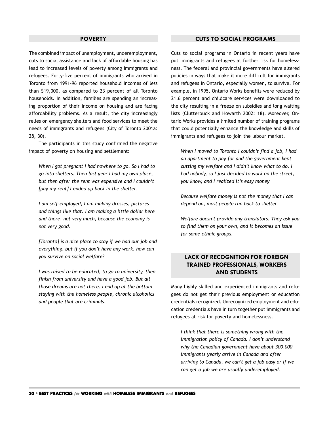#### **POVERTY**

<span id="page-29-0"></span>The combined impact of unemployment, underemployment, cuts to social assistance and lack of affordable housing has lead to increased levels of poverty among immigrants and refugees. Forty-five percent of immigrants who arrived in Toronto from 1991-96 reported household incomes of less than \$19,000, as compared to 23 percent of all Toronto households. In addition, families are spending an increasing proportion of their income on housing and are facing affordability problems. As a result, the city increasingly relies on emergency shelters and food services to meet the needs of immigrants and refugees (City of Toronto 2001a: 28, 30).

The participants in this study confirmed the negative impact of poverty on housing and settlement:

*When I got pregnant I had nowhere to go. So I had to go into shelters. Then last year I had my own place, but then after the rent was expensive and I couldn't [pay my rent] I ended up back in the shelter.*

*I am self-employed, I am making dresses, pictures and things like that. I am making a little dollar here and there, not very much, because the economy is not very good.*

*[Toronto] is a nice place to stay if we had our job and everything, but if you don't have any work, how can you survive on social welfare?*

*I was raised to be educated, to go to university, then finish from university and have a good job. But all those dreams are not there. I end up at the bottom staying with the homeless people, chronic alcoholics and people that are criminals.*

#### **CUTS TO SOCIAL PROGRAMS**

Cuts to social programs in Ontario in recent years have put immigrants and refugees at further risk for homelessness. The federal and provincial governments have altered policies in ways that make it more difficult for immigrants and refugees in Ontario, especially women, to survive. For example, in 1995, Ontario Works benefits were reduced by 21.6 percent and childcare services were downloaded to the city resulting in a freeze on subsidies and long waiting lists (Clutterbuck and Howarth 2002: 18). Moreover, Ontario Works provides a limited number of training programs that could potentially enhance the knowledge and skills of immigrants and refugees to join the labour market.

*When I moved to Toronto I couldn't find a job, I had an apartment to pay for and the government kept cutting my welfare and I didn't know what to do. I had nobody, so I just decided to work on the street, you know, and I realized it's easy money*

*Because welfare money is not the money that I can depend on, most people run back to shelter.*

*Welfare doesn't provide any translators. They ask you to find them on your own, and it becomes an issue for some ethnic groups.*

## **LACK OF RECOGNITION FOR FOREIGN TRAINED PROFESSIONALS, WORKERS AND STUDENTS**

Many highly skilled and experienced immigrants and refugees do not get their previous employment or education credentials recognized. Unrecognized employment and education credentials have in turn together put immigrants and refugees at risk for poverty and homelessness.

*I think that there is something wrong with the immigration policy of Canada. I don't understand why the Canadian government have about 300,000 immigrants yearly arrive in Canada and after arriving to Canada, we can't get a job easy or if we can get a job we are usually underemployed.*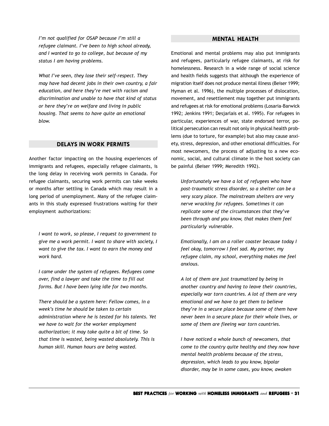<span id="page-30-0"></span>*I'm not qualified for OSAP because I'm still a refugee claimant. I've been to high school already, and I wanted to go to college, but because of my status I am having problems.*

*What I've seen, they lose their self-respect. They may have had decent jobs in their own country, a fair education, and here they're met with racism and discrimination and unable to have that kind of status or here they're on welfare and living in public housing. That seems to have quite an emotional blow.*

#### **DELAYS IN WORK PERMITS**

Another factor impacting on the housing experiences of immigrants and refugees, especially refugee claimants, is the long delay in receiving work permits in Canada. For refugee claimants, securing work permits can take weeks or months after settling in Canada which may result in a long period of unemployment. Many of the refugee claimants in this study expressed frustrations waiting for their employment authorizations:

*I want to work, so please, I request to government to give me a work permit. I want to share with society, I want to give the tax. I want to earn the money and work hard.*

*I came under the system of refugees. Refugees come over, find a lawyer and take the time to fill out forms. But I have been lying idle for two months.*

*There should be a system here: Fellow comes, in a week's time he should be taken to certain administration where he is tested for his talents. Yet we have to wait for the worker employment authorization; it may take quite a bit of time. So that time is wasted, being wasted absolutely. This is human skill. Human hours are being wasted.*

#### **MENTAL HEALTH**

Emotional and mental problems may also put immigrants and refugees, particularly refugee claimants, at risk for homelessness. Research in a wide range of social science and health fields suggests that although the experience of migration itself does not produce mental illness (Beiser 1999; Hyman et al. 1996), the multiple processes of dislocation, movement, and resettlement may together put immigrants and refugees at risk for emotional problems (Losaria-Barwick 1992; Jenkins 1991; Desjarlais et al. 1995). For refugees in particular, experiences of war, state endorsed terror, political persecution can result not only in physical health problems (due to torture, for example) but also may cause anxiety, stress, depression, and other emotional difficulties. For most newcomers, the process of adjusting to a new economic, social, and cultural climate in the host society can be painful (Beiser 1999; Meredith 1992).

*Unfortunately we have a lot of refugees who have post-traumatic stress disorder, so a shelter can be a very scary place. The mainstream shelters are very nerve wracking for refugees. Sometimes it can replicate some of the circumstances that they've been through and you know, that makes them feel particularly vulnerable.*

*Emotionally, I am on a roller coaster because today I feel okay, tomorrow I feel sad. My partner, my refugee claim, my school, everything makes me feel anxious.*

*A lot of them are just traumatized by being in another country and having to leave their countries, especially war torn countries. A lot of them are very emotional and we have to get them to believe they're in a secure place because some of them have never been in a secure place for their whole lives, or some of them are fleeing war torn countries.*

*I have noticed a whole bunch of newcomers, that come to the country quite healthy and they now have mental health problems because of the stress, depression, which leads to you know, bipolar disorder, may be in some cases, you know, awaken*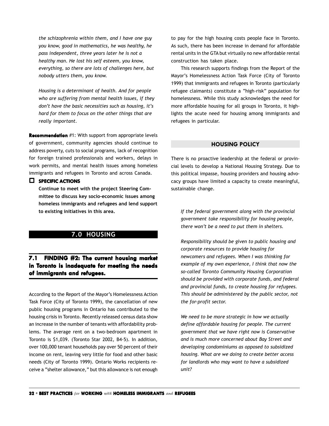<span id="page-31-0"></span>*the schizophrenia within them, and I have one guy you know, good in mathematics, he was healthy, he pass independent, three years later he is not a healthy man. He lost his self esteem, you know, everything, so there are lots of challenges here, but nobody utters them, you know.*

*Housing is a determinant of health. And for people who are suffering from mental health issues, if they don't have the basic necessities such as housing, it's hard for them to focus on the other things that are really important.*

**Recommendation** #1: With support from appropriate levels of government, community agencies should continue to address poverty, cuts to social programs, lack of recognition for foreign trained professionals and workers, delays in work permits, and mental health issues among homeless immigrants and refugees in Toronto and across Canada.

#### **SPECIFIC ACTIONS**

**Continue to meet with the project Steering Committee to discuss key socio-economic issues among homeless immigrants and refugees and lend support to existing initiatives in this area.**

#### **7.0 HOUSING**

# **7.1 FINDING #2: The current housing market The housing market in Toronto is inadequate for meeting the needs of immigrants and refugees. immigrants refugees.**

According to the Report of the Mayor's Homelessness Action Task Force (City of Toronto 1999), the cancellation of new public housing programs in Ontario has contributed to the housing crisis in Toronto. Recently released census data show an increase in the number of tenants with affordability problems. The average rent on a two-bedroom apartment in Toronto is \$1,039. (Toronto Star 2002, B4-5). In addition, over 100,000 tenant households pay over 50 percent of their income on rent, leaving very little for food and other basic needs (City of Toronto 1999). Ontario Works recipients receive a "shelter allowance," but this allowance is not enough

to pay for the high housing costs people face in Toronto. As such, there has been increase in demand for affordable rental units in the GTA but virtually no new affordable rental construction has taken place.

This research supports findings from the Report of the Mayor's Homelessness Action Task Force (City of Toronto 1999) that immigrants and refugees in Toronto (particularly refugee claimants) constitute a "high-risk" population for homelessness. While this study acknowledges the need for more affordable housing for all groups in Toronto, it highlights the acute need for housing among immigrants and refugees in particular.

#### **HOUSING POLICY**

There is no proactive leadership at the federal or provincial levels to develop a National Housing Strategy. Due to this political impasse, housing providers and housing advocacy groups have limited a capacity to create meaningful, sustainable change.

*If the federal government along with the provincial government take responsibility for housing people, there won't be a need to put them in shelters.*

*Responsibility should be given to public housing and corporate resources to provide housing for newcomers and refugees. When I was thinking for example of my own experience, I think that now the so-called Toronto Community Housing Corporation should be provided with corporate funds, and federal and provincial funds, to create housing for refugees. This should be administered by the public sector, not the for-profit sector.*

*We need to be more strategic in how we actually define affordable housing for people. The current government that we have right now is Conservative and is much more concerned about Bay Street and developing condominiums as opposed to subsidized housing. What are we doing to create better access for landlords who may want to have a subsidized unit?*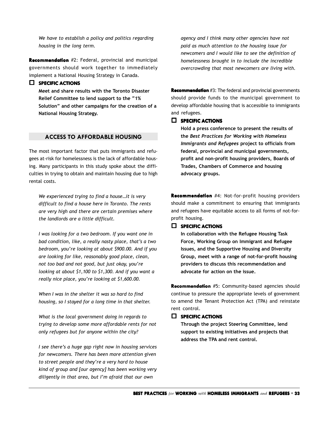<span id="page-32-0"></span>*We have to establish a policy and politics regarding housing in the long term.*

**Recommendation** #2: Federal, provincial and municipal governments should work together to immediately implement a National Housing Strategy in Canada.

#### **SPECIFIC ACTIONS**

**Meet and share results with the Toronto Disaster Relief Committee to lend support to the "1% Solution" and other campaigns for the creation of a National Housing Strategy.**

#### **ACCESS TO AFFORDABLE HOUSING**

The most important factor that puts immigrants and refugees at-risk for homelessness is the lack of affordable housing. Many participants in this study spoke about the difficulties in trying to obtain and maintain housing due to high rental costs.

*We experienced trying to find a house…it is very difficult to find a house here in Toronto. The rents are very high and there are certain premises where the landlords are a little difficult.*

*I was looking for a two bedroom. If you want one in bad condition, like, a really nasty place, that's a two bedroom, you're looking at about \$900.00. And if you are looking for like, reasonably good place, clean, not too bad and not good, but just okay, you're looking at about \$1,100 to \$1,300. And if you want a really nice place, you're looking at \$1,600.00.*

*When I was in the shelter it was so hard to find housing, so I stayed for a long time in that shelter.*

*What is the local government doing in regards to trying to develop some more affordable rents for not only refugees but for anyone within the city?*

*I see there's a huge gap right now in housing services for newcomers. There has been more attention given to street people and they're a very hard to house kind of group and [our agency] has been working very diligently in that area, but I'm afraid that our own*

*agency and I think many other agencies have not paid as much attention to the housing issue for newcomers and I would like to see the definition of homelessness brought in to include the incredible overcrowding that most newcomers are living with.*

**Recommendation** #3: The federal and provincial governments should provide funds to the municipal government to develop affordable housing that is accessible to immigrants and refugees.

#### **SPECIFIC SPECIFIC ACTIONS**

**Hold a press conference to present the results of the** *Best Practices for Working with Homeless Immigrants and Refugees* **project to officials from federal, provincial and municipal governments, profit and non-profit housing providers, Boards of Trades, Chambers of Commerce and housing advocacy groups.**

**Recommendation** #4: Not-for-profit housing providers should make a commitment to ensuring that immigrants and refugees have equitable access to all forms of not-forprofit housing.

#### **SPECIFIC SPECIFIC ACTIONS**

**In collaboration with the Refugee Housing Task Force, Working Group on Immigrant and Refugee Issues, and the Supportive Housing and Diversity Group, meet with a range of not-for-profit housing providers to discuss this recommendation and advocate for action on the issue.**

**Recommendation** #5: Community-based agencies should continue to pressure the appropriate levels of government to amend the Tenant Protection Act (TPA) and reinstate rent control.

#### **SPECIFIC SPECIFIC ACTIONS**

**Through the project Steering Committee, lend support to existing initiatives and projects that address the TPA and rent control.**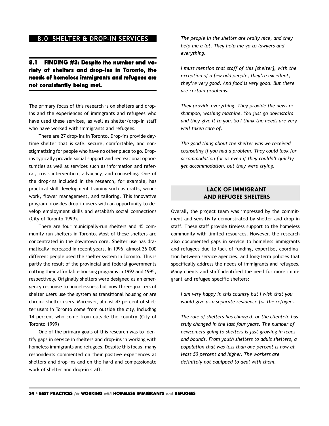# <span id="page-33-0"></span>**8.0 SHELTER & DROP-IN SERVICES**

# 8.1 FINDING #3: Despite the number and variety of shelters and drop-ins in Toronto, the **needs of homeless immigrants and refugees are not consistently being met. consistently being**

The primary focus of this research is on shelters and dropins and the experiences of immigrants and refugees who have used these services, as well as shelter/drop-in staff who have worked with immigrants and refugees.

There are 27 drop-ins in Toronto. Drop-ins provide daytime shelter that is safe, secure, comfortable, and nonstigmatizing for people who have no other place to go. Dropins typically provide social support and recreational opportunities as well as services such as information and referral, crisis intervention, advocacy, and counseling. One of the drop-ins included in the research, for example, has practical skill development training such as crafts, woodwork, flower management, and tailoring. This innovative program provides drop-in users with an opportunity to develop employment skills and establish social connections (City of Toronto 1999).

There are four municipally-run shelters and 45 community-run shelters in Toronto. Most of these shelters are concentrated in the downtown core. Shelter use has dramatically increased in recent years. In 1996, almost 26,000 different people used the shelter system in Toronto. This is partly the result of the provincial and federal governments cutting their affordable housing programs in 1992 and 1995, respectively. Originally shelters were designed as an emergency response to homelessness but now three-quarters of shelter users use the system as transitional housing or are chronic shelter users. Moreover, almost 47 percent of shelter users in Toronto come from outside the city, including 14 percent who come from outside the country (City of Toronto 1999)

One of the primary goals of this research was to identify gaps in service in shelters and drop-ins in working with homeless immigrants and refugees. Despite this focus, many respondents commented on their positive experiences at shelters and drop-ins and on the hard and compassionate work of shelter and drop-in staff:

*The people in the shelter are really nice, and they help me a lot. They help me go to lawyers and everything.*

*I must mention that staff of this [shelter], with the exception of a few odd people, they're excellent, they're very good. And food is very good. But there are certain problems.*

*They provide everything. They provide the news or shampoo, washing machine. You just go downstairs and they give it to you. So I think the needs are very well taken care of.*

*The good thing about the shelter was we received counseling if you had a problem. They could look for accommodation for us even if they couldn't quickly get accommodation, but they were trying.*

# **LACK OF IMMIGRANT AND REFUGEE SHELTERS**

Overall, the project team was impressed by the commitment and sensitivity demonstrated by shelter and drop-in staff. These staff provide tireless support to the homeless community with limited resources. However, the research also documented gaps in service to homeless immigrants and refugees due to lack of funding, expertise, coordination between service agencies, and long-term policies that specifically address the needs of immigrants and refugees. Many clients and staff identified the need for more immigrant and refugee specific shelters:

*I am very happy in this country but I wish that you would give us a separate residence for the refugees.*

*The role of shelters has changed, or the clientele has truly changed in the last four years. The number of newcomers going to shelters is just growing in leaps and bounds. From youth shelters to adult shelters, a population that was less than one percent is now at least 50 percent and higher. The workers are definitely not equipped to deal with them.*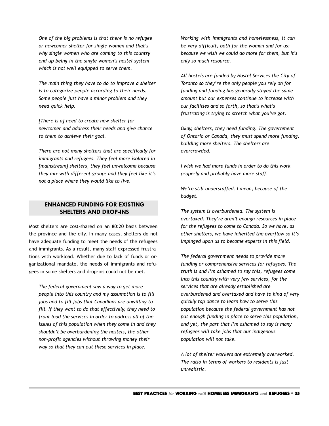<span id="page-34-0"></span>*One of the big problems is that there is no refugee or newcomer shelter for single women and that's why single women who are coming to this country end up being in the single women's hostel system which is not well equipped to serve them.*

*The main thing they have to do to improve a shelter is to categorize people according to their needs. Some people just have a minor problem and they need quick help.*

*[There is a] need to create new shelter for newcomer and address their needs and give chance to them to achieve their goal.*

*There are not many shelters that are specifically for immigrants and refugees. They feel more isolated in [mainstream] shelters, they feel unwelcome because they mix with different groups and they feel like it's not a place where they would like to live.*

## **ENHANCED FUNDING FOR EXISTING SHELTERS AND DROP-INS**

Most shelters are cost-shared on an 80:20 basis between the province and the city. In many cases, shelters do not have adequate funding to meet the needs of the refugees and immigrants. As a result, many staff expressed frustrations with workload. Whether due to lack of funds or organizational mandate, the needs of immigrants and refugees in some shelters and drop-ins could not be met.

*The federal government saw a way to get more people into this country and my assumption is to fill jobs and to fill jobs that Canadians are unwilling to fill. If they want to do that effectively, they need to front load the services in order to address all of the issues of this population when they come in and they shouldn't be overburdening the hostels, the other non-profit agencies without throwing money their way so that they can put these services in place.*

*Working with immigrants and homelessness, it can be very difficult, both for the woman and for us; because we wish we could do more for them, but it's only so much resource.*

*All hostels are funded by Hostel Services the City of Toronto so they're the only people you rely on for funding and funding has generally stayed the same amount but our expenses continue to increase with our facilities and so forth, so that's what's frustrating is trying to stretch what you've got.*

*Okay, shelters, they need funding. The government of Ontario or Canada, they must spend more funding, building more shelters. The shelters are overcrowded.*

*I wish we had more funds in order to do this work properly and probably have more staff.*

*We're still understaffed. I mean, because of the budget.*

*The system is overburdened. The system is overtaxed. They're aren't enough resources in place for the refugees to come to Canada. So we have, as other shelters, we have inherited the overflow so it's impinged upon us to become experts in this field.*

*The federal government needs to provide more funding or comprehensive services for refugees. The truth is and I'm ashamed to say this, refugees come into this country with very few services, for the services that are already established are overburdened and overtaxed and have to kind of very quickly tap dance to learn how to serve this population because the federal government has not put enough funding in place to serve this population, and yet, the part that I'm ashamed to say is many refugees will take jobs that our indigenous population will not take.*

*A lot of shelter workers are extremely overworked. The ratio in terms of workers to residents is just unrealistic.*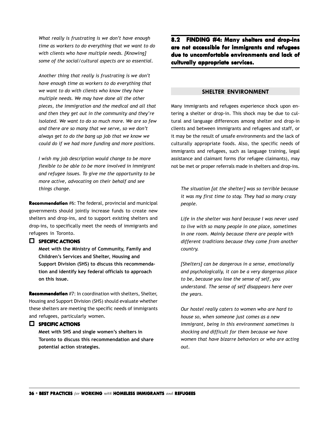*What really is frustrating is we don't have enough time as workers to do everything that we want to do with clients who have multiple needs. [Knowing] some of the social/cultural aspects are so essential.*

*Another thing that really is frustrating is we don't have enough time as workers to do everything that we want to do with clients who know they have multiple needs. We may have done all the other pieces, the immigration and the medical and all that and then they get out in the community and they're isolated. We want to do so much more. We are so few and there are so many that we serve, so we don't always get to do the bang up job that we know we could do if we had more funding and more positions.*

*I wish my job description would change to be more flexible to be able to be more involved in immigrant and refugee issues. To give me the opportunity to be more active, advocating on their behalf and see things change.*

**Recommendation** #6: The federal, provincial and municipal governments should jointly increase funds to create new shelters and drop-ins, and to support existing shelters and drop-ins, to specifically meet the needs of immigrants and refugees in Toronto.

#### **SPECIFIC ACTIONS**

**Meet with the Ministry of Community, Family and Children's Services and Shelter, Housing and Support Division (SHS) to discuss this recommendation and identify key federal officials to approach on this issue.**

**Recommendation** #7: In coordination with shelters, Shelter, Housing and Support Division (SHS) should evaluate whether these shelters are meeting the specific needs of immigrants and refugees, particularly women.

#### **EL SPECIFIC ACTIONS**

**Meet with SHS and single women's shelters in Toronto to discuss this recommendation and share potential action strategies.**

**8.2 FINDING #4: FINDING #4: Many shelters and drop-ins are not accessible for immigrants and refugees due to uncomf due to uncomfortable environments and lack of culturally appropriate services. culturally appropriate** 

#### **SHELTER ENVIRONMENT**

Many immigrants and refugees experience shock upon entering a shelter or drop-in. This shock may be due to cultural and language differences among shelter and drop-in clients and between immigrants and refugees and staff, or it may be the result of unsafe environments and the lack of culturally appropriate foods. Also, the specific needs of immigrants and refugees, such as language training, legal assistance and claimant forms (for refugee claimants), may not be met or proper referrals made in shelters and drop-ins.

*The situation [at the shelter] was so terrible because it was my first time to stay. They had so many crazy people.*

*Life in the shelter was hard because I was never used to live with so many people in one place, sometimes in one room. Mainly because there are people with different traditions because they come from another country.*

*[Shelters] can be dangerous in a sense, emotionally and psychologically, it can be a very dangerous place to be, because you lose the sense of self, you understand. The sense of self disappears here over the years.*

*Our hostel really caters to women who are hard to house so, when someone just comes as a new immigrant, being in this environment sometimes is shocking and difficult for them because we have women that have bizarre behaviors or who are acting out.*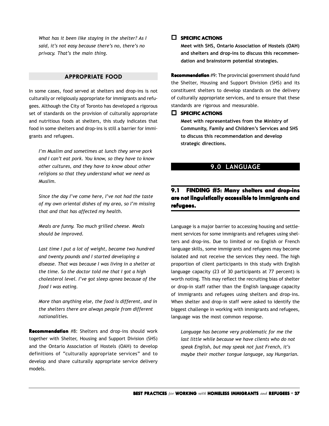<span id="page-36-0"></span>*What has it been like staying in the shelter? As I said, it's not easy because there's no, there's no privacy. That's the main thing.*

#### **APPROPRIATE FOOD**

In some cases, food served at shelters and drop-ins is not culturally or religiously appropriate for immigrants and refugees. Although the City of Toronto has developed a rigorous set of standards on the provision of culturally appropriate and nutritious foods at shelters, this study indicates that food in some shelters and drop-ins is still a barrier for immigrants and refugees.

*I'm Muslim and sometimes at lunch they serve pork and I can't eat pork. You know, so they have to know other cultures, and they have to know about other religions so that they understand what we need as Muslim.*

*Since the day I've come here, I've not had the taste of my own oriental dishes of my area, so I'm missing that and that has affected my health.*

*Meals are funny. Too much grilled cheese. Meals should be improved.*

*Last time I put a lot of weight, became two hundred and twenty pounds and I started developing a disease. That was because I was living in a shelter at the time. So the doctor told me that I got a high cholesterol level. I've got sleep apnea because of the food I was eating.*

*More than anything else, the food is different, and in the shelters there are always people from different nationalities.*

**Recommendation** #8: Shelters and drop-ins should work together with Shelter, Housing and Support Division (SHS) and the Ontario Association of Hostels (OAH) to develop definitions of "culturally appropriate services" and to develop and share culturally appropriate service delivery models.

#### **SPECIFIC SPECIFIC ACTIONS**

**Meet with SHS, Ontario Association of Hostels (OAH) and shelters and drop-ins to discuss this recommendation and brainstorm potential strategies.**

**Recommendation** #9: The provincial government should fund the Shelter, Housing and Support Division (SHS) and its constituent shelters to develop standards on the delivery of culturally appropriate services, and to ensure that these standards are rigorous and measurable.

#### **SPECIFIC SPECIFIC ACTIONS**

**Meet with representatives from the Ministry of Community, Family and Children's Services and SHS to discuss this recommendation and develop strategic directions.**

# **9.0 LANGUAGE**

# **9.1 FINDING #5: FINDING #5: Many shelters and drop-ins are not linguistically accessible to immigrants and refugees. refugees.**

Language is a major barrier to accessing housing and settlement services for some immigrants and refugees using shelters and drop-ins. Due to limited or no English or French language skills, some immigrants and refugees may become isolated and not receive the services they need. The high proportion of client participants in this study with English language capacity (23 of 30 participants at 77 percent) is worth noting. This may reflect the recruiting bias of shelter or drop-in staff rather than the English language capacity of immigrants and refugees using shelters and drop-ins. When shelter and drop-in staff were asked to identify the biggest challenge in working with immigrants and refugees, language was the most common response.

*Language has become very problematic for me the last little while because we have clients who do not speak English, but may speak not just French, it's maybe their mother tongue language, say Hungarian.*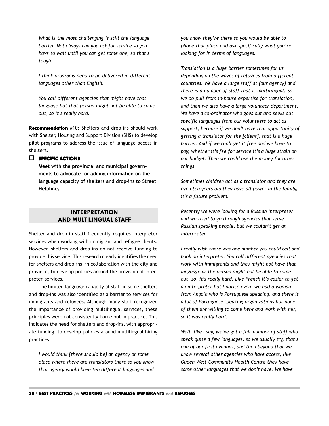<span id="page-37-0"></span>*What is the most challenging is still the language barrier. Not always can you ask for service so you have to wait until you can get some one, so that's tough.*

*I think programs need to be delivered in different languages other than English.*

*You call different agencies that might have that language but that person might not be able to come out, so it's really hard.*

**Recommendation** #10: Shelters and drop-ins should work with Shelter, Housing and Support Division (SHS) to develop pilot programs to address the issue of language access in shelters.

#### **SPECIFIC ACTIONS**

**Meet with the provincial and municipal governments to advocate for adding information on the language capacity of shelters and drop-ins to Street Helpline.**

## **INTERPRETATION AND MULTILINGUAL STAFF**

Shelter and drop-in staff frequently requires interpreter services when working with immigrant and refugee clients. However, shelters and drop-ins do not receive funding to provide this service. This research clearly identifies the need for shelters and drop-ins, in collaboration with the city and province, to develop policies around the provision of interpreter services.

The limited language capacity of staff in some shelters and drop-ins was also identified as a barrier to services for immigrants and refugees. Although many staff recognized the importance of providing multilingual services, these principles were not consistently borne out in practice. This indicates the need for shelters and drop-ins, with appropriate funding, to develop policies around multilingual hiring practices.

*I would think [there should be] an agency or some place where there are translators there so you know that agency would have ten different languages and* *you know they're there so you would be able to phone that place and ask specifically what you're looking for in terms of languages.*

*Translation is a huge barrier sometimes for us depending on the waves of refugees from different countries. We have a large staff at [our agency] and there is a number of staff that is multilingual. So we do pull from in-house expertise for translation, and then we also have a large volunteer department. We have a co-ordinator who goes out and seeks out specific languages from our volunteers to act as support, because if we don't have that opportunity of getting a translator for the [client], that is a huge barrier. And if we can't get it free and we have to pay, whether it's fee for service it's a huge strain on our budget. Then we could use the money for other things.*

*Sometimes children act as a translator and they are even ten years old they have all power in the family, it's a future problem.*

*Recently we were looking for a Russian interpreter and we tried to go through agencies that serve Russian speaking people, but we couldn't get an interpreter.*

*I really wish there was one number you could call and book an interpreter. You call different agencies that work with immigrants and they might not have that language or the person might not be able to come out, so, it's really hard. Like French it's easier to get an interpreter but I notice even, we had a woman from Angola who is Portuguese speaking, and there is a lot of Portuguese speaking organizations but none of them are willing to come here and work with her, so it was really hard.*

*Well, like I say, we've got a fair number of staff who speak quite a few languages, so we usually try, that's one of our first avenues, and then beyond that we know several other agencies who have access, like Queen West Community Health Centre they have some other languages that we don't have. We have*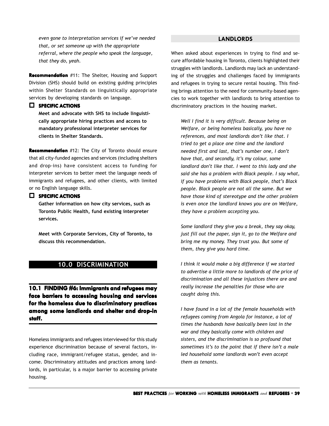<span id="page-38-0"></span>*even gone to interpretation services if we've needed that, or set someone up with the appropriate referral, where the people who speak the language, that they do, yeah.*

**Recommendation** #11: The Shelter, Housing and Support Division (SHS) should build on existing guiding principles within Shelter Standards on linguistically appropriate services by developing standards on language.

#### **SPECIFIC ACTIONS**

**Meet and advocate with SHS to include linguistically appropriate hiring practices and access to mandatory professional interpreter services for clients in Shelter Standards.**

**Recommendation** #12: The City of Toronto should ensure that all city-funded agencies and services (including shelters and drop-ins) have consistent access to funding for interpreter services to better meet the language needs of immigrants and refugees, and other clients, with limited or no English language skills.

#### **SPECIFIC ACTIONS**

**Gather information on how city services, such as Toronto Public Health, fund existing interpreter services.**

**Meet with Corporate Services, City of Toronto, to discuss this recommendation.**

# **10.0 DISCRIMINATION**

**10.1 FINDING #6: Immigrants and refugees may face barriers to accessing housing and services for the homeless due to discriminatory practices among some landlords and shelter and drop-in staff.**

Homeless immigrants and refugees interviewed for this study experience discrimination because of several factors, including race, immigrant/refugee status, gender, and income. Discriminatory attitudes and practices among landlords, in particular, is a major barrier to accessing private housing.

#### **LANDLORDS**

When asked about experiences in trying to find and secure affordable housing in Toronto, clients highlighted their struggles with landlords. Landlords may lack an understanding of the struggles and challenges faced by immigrants and refugees in trying to secure rental housing. This finding brings attention to the need for community-based agencies to work together with landlords to bring attention to discriminatory practices in the housing market.

*Well I find it is very difficult. Because being on Welfare, or being homeless basically, you have no references, and most landlords don't like that. I tried to get a place one time and the landlord needed first and last, that's number one, I don't have that, and secondly, it's my colour, some landlord don't like that. I went to this lady and she said she has a problem with Black people. I say what, if you have problems with Black people, that's Black people. Black people are not all the same. But we have those kind of stereotype and the other problem is even once the landlord knows you are on Welfare, they have a problem accepting you.*

*Some landlord they give you a break, they say okay, just fill out the paper, sign it, go to the Welfare and bring me my money. They trust you. But some of them, they give you hard time.*

*I think it would make a big difference if we started to advertise a little more to landlords of the price of discrimination and all these injustices there are and really increase the penalties for those who are caught doing this.*

*I have found in a lot of the female households with refugees coming from Angola for instance, a lot of times the husbands have basically been lost in the war and they basically come with children and sisters, and the discrimination is so profound that sometimes it's to the point that if there isn't a male led household some landlords won't even accept them as tenants.*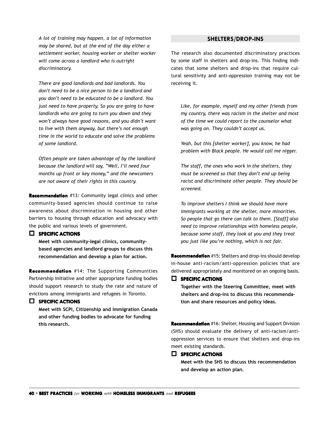<span id="page-39-0"></span>*A lot of training may happen, a lot of information may be shared, but at the end of the day either a settlement worker, housing worker or shelter worker will come across a landlord who is outright discriminatory.*

*There are good landlords and bad landlords. You don't need to be a nice person to be a landlord and you don't need to be educated to be a landlord. You just need to have property. So you are going to have landlords who are going to turn you down and they won't always have good reasons, and you didn't want to live with them anyway, but there's not enough time in the world to educate and solve the problems of some landlord.*

*Often people are taken advantage of by the landlord because the landlord will say, "Well, I'll need four months up front or key money," and the newcomers are not aware of their rights in this country.*

**Recommendation** #13: Community legal clinics and other community-based agencies should continue to raise awareness about discrimination in housing and other barriers to housing through education and advocacy with the public and various levels of government.

#### **SPECIFIC ACTIONS**

**Meet with community-legal clinics, communitybased agencies and landlord groups to discuss this recommendation and develop a plan for action.**

**Recommendation** #14: The Supporting Communities Partnership Initiative and other appropriate funding bodies should support research to study the rate and nature of evictions among immigrants and refugees in Toronto.

#### **SPECIFIC ACTIONS**

**Meet with SCPI, Citizenship and Immigration Canada and other funding bodies to advocate for funding this research.**

#### **SHELTERS/DROP-INS**

The research also documented discriminatory practices by some staff in shelters and drop-ins. This finding indicates that some shelters and drop-ins that require cultural sensitivity and anti-oppression training may not be receiving it.

*Like, for example, myself and my other friends from my country, there was racism in the shelter and most of the time we could report to the counselor what was going on. They couldn't accept us.*

*Yeah, but this [shelter worker], you know, he had problem with Black people. He would call me nigger.*

*The staff, the ones who work in the shelters, they must be screened so that they don't end up being racist and discriminate other people. They should be screened.*

*To improve shelters I think we should have more immigrants working at the shelter, more minorities. So people that go there can talk to them. [Staff] also need to improve relationships with homeless people, because some staff, they look at you and they treat you just like you're nothing, which is not fair.*

**Recommendation** #15: Shelters and drop-ins should develop in-house anti-racism/anti-oppression policies that are delivered appropriately and monitored on an ongoing basis.

#### **SPECIFIC SPECIFIC ACTIONS**

**Together with the Steering Committee, meet with shelters and drop-ins to discuss this recommendation and share resources and policy ideas.**

**Recommendation** #16: Shelter, Housing and Support Division (SHS) should evaluate the delivery of anti-racism/antioppression services to ensure that shelters and drop-ins meet existing standards.

#### **SPECIFIC SPECIFIC ACTIONS**

**Meet with the SHS to discuss this recommendation and develop an action plan.**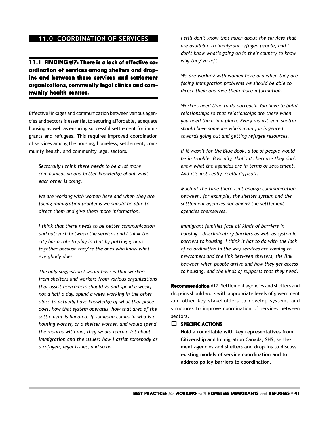# <span id="page-40-0"></span>**11.0 COORDINATION OF SERVICES**

**11.1 FINDING #7: There is a lack of effective co- is lack of coordination of services among shelters and drop- ordination of shelters and dropins and between these services and settlement and between and settlement organizations, community legal clinics and com- legal clinics and community health centres.**

Effective linkages and communication between various agencies and sectors is essential to securing affordable, adequate housing as well as ensuring successful settlement for immigrants and refugees. This requires improved coordination of services among the housing, homeless, settlement, community health, and community legal sectors.

*Sectorally I think there needs to be a lot more communication and better knowledge about what each other is doing.*

*We are working with women here and when they are facing immigration problems we should be able to direct them and give them more information.*

*I think that there needs to be better communication and outreach between the services and I think the city has a role to play in that by putting groups together because they're the ones who know what everybody does.*

*The only suggestion I would have is that workers from shelters and workers from various organizations that assist newcomers should go and spend a week, not a half a day, spend a week working in the other place to actually have knowledge of what that place does, how that system operates, how that area of the settlement is handled. If someone comes in who is a housing worker, or a shelter worker, and would spend the months with me, they would learn a lot about immigration and the issues: how I assist somebody as a refugee, legal issues, and so on.*

*I still don't know that much about the services that are available to immigrant refugee people, and I don't know what's going on in their country to know why they've left.*

*We are working with women here and when they are facing immigration problems we should be able to direct them and give them more information.*

*Workers need time to do outreach. You have to build relationships so that relationships are there when you need them in a pinch. Every mainstream shelter should have someone who's main job is geared towards going out and getting refugee resources.*

*If it wasn't for the Blue Book, a lot of people would be in trouble. Basically, that's it, because they don't know what the agencies are in terms of settlement. And it's just really, really difficult.*

*Much of the time there isn't enough communication between, for example, the shelter system and the settlement agencies nor among the settlement agencies themselves.*

*Immigrant families face all kinds of barriers in housing - discriminatory barriers as well as systemic barriers to housing. I think it has to do with the lack of co-ordination in the way services are coming to newcomers and the link between shelters, the link between when people arrive and how they get access to housing, and the kinds of supports that they need.*

**Recommendation** #17: Settlement agencies and shelters and drop-ins should work with appropriate levels of government and other key stakeholders to develop systems and structures to improve coordination of services between sectors.

#### **SPECIFIC SPECIFIC ACTIONS**

**Hold a roundtable with key representatives from Citizenship and Immigration Canada, SHS, settlement agencies and shelters and drop-ins to discuss existing models of service coordination and to address policy barriers to coordination.**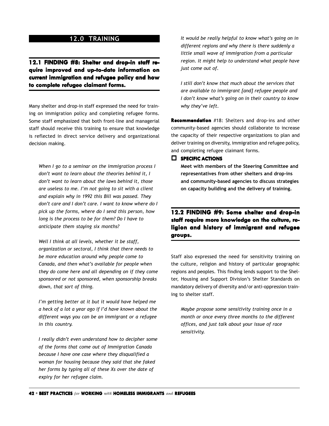# **12.0 TRAINING**

<span id="page-41-0"></span>12.1 FINDING #8: Shelter and drop-in staff re**quire improved and up-to-date information on current immigration and refugee policy and how to complete refugee claimant forms. to forms.**

Many shelter and drop-in staff expressed the need for training on immigration policy and completing refugee forms. Some staff emphasized that both front-line and managerial staff should receive this training to ensure that knowledge is reflected in direct service delivery and organizational decision making.

*When I go to a seminar on the immigration process I don't want to learn about the theories behind it, I don't want to learn about the laws behind it, those are useless to me. I'm not going to sit with a client and explain why in 1992 this Bill was passed. They don't care and I don't care. I want to know where do I pick up the forms, where do I send this person, how long is the process to be for them? Do I have to anticipate them staying six months?*

*Well I think at all levels, whether it be staff, organization or sectoral, I think that there needs to be more education around why people come to Canada, and then what's available for people when they do come here and all depending on if they come sponsored or not sponsored, when sponsorship breaks down, that sort of thing.*

*I'm getting better at it but it would have helped me a heck of a lot a year ago if I'd have known about the different ways you can be an immigrant or a refugee in this country.*

*I really didn't even understand how to decipher some of the forms that come out of Immigration Canada because I have one case where they disqualified a woman for housing because they said that she faked her forms by typing all of these Xs over the date of expiry for her refugee claim.*

*It would be really helpful to know what's going on in different regions and why there is there suddenly a little small wave of immigration from a particular region. It might help to understand what people have just come out of.*

*I still don't know that much about the services that are available to immigrant [and] refugee people and I don't know what's going on in their country to know why they've left.*

**Recommendation** #18: Shelters and drop-ins and other community-based agencies should collaborate to increase the capacity of their respective organizations to plan and deliver training on diversity, immigration and refugee policy, and completing refugee claimant forms.

**SPECIFIC SPECIFIC ACTIONS**

**Meet with members of the Steering Committee and representatives from other shelters and drop-ins and community-based agencies to discuss strategies on capacity building and the delivery of training.**

**12.2 FINDING #9: FINDING #9: Some shelter and drop-in** staff require more knowledge on the culture, re**ligion and history of immigrant and refugee groups. groups.**

Staff also expressed the need for sensitivity training on the culture, religion and history of particular geographic regions and peoples. This finding lends support to the Shelter, Housing and Support Division's Shelter Standards on mandatory delivery of diversity and/or anti-oppression training to shelter staff.

*Maybe propose some sensitivity training once in a month or once every three months to the different offices, and just talk about your issue of race sensitivity.*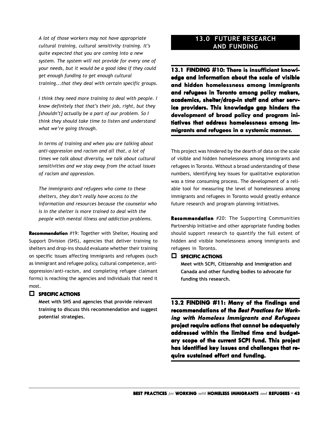*A lot of those workers may not have appropriate cultural training, cultural sensitivity training. It's quite expected that you are coming into a new system. The system will not provide for every one of your needs, but it would be a good idea if they could get enough funding to get enough cultural training...that they deal with certain specific groups.*

*I think they need more training to deal with people. I know definitely that that's their job, right, but they [shouldn't] actually be a part of our problem. So I think they should take time to listen and understand what we're going through.*

*In terms of training and when you are talking about anti-oppression and racism and all that, a lot of times we talk about diversity, we talk about cultural sensitivities and we stay away from the actual issues of racism and oppression.*

*The immigrants and refugees who come to these shelters, they don't really have access to the information and resources because the counselor who is in the shelter is more trained to deal with the people with mental illness and addiction problems.*

**Recommendation** #19: Together with Shelter, Housing and Support Division (SHS), agencies that deliver training to shelters and drop-ins should evaluate whether their training on specific issues affecting immigrants and refugees (such as immigrant and refugee policy, cultural competence, antioppression/anti-racism, and completing refugee claimant forms) is reaching the agencies and individuals that need it most.

#### **SPECIFIC ACTIONS**

**Meet with SHS and agencies that provide relevant training to discuss this recommendation and suggest potential strategies.**

# **13.0 FUTURE RESEARCH AND FUNDING**

**13.1 FINDING #10: FINDING There is insufficient knowl- is knowledge and information about the scale of visible and hidden homelessness among immigrants and refugees in Toronto among policy makers, academics, shelter/drop-in staff and other serv- academics, shelter/drop-in staff and other service providers. This knowledge gap hinders the development of broad policy and program ini- development broad policy and program initiatives that address homelessness among im- tiatives that address immigrants and refugees in a systemic manner.** 

This project was hindered by the dearth of data on the scale of visible and hidden homelessness among immigrants and refugees in Toronto. Without a broad understanding of these numbers, identifying key issues for qualitative exploration was a time consuming process. The development of a reliable tool for measuring the level of homelessness among immigrants and refugees in Toronto would greatly enhance future research and program planning initiatives.

**Recommendation** #20: The Supporting Communities Partnership Initiative and other appropriate funding bodies should support research to quantify the full extent of hidden and visible homelessness among immigrants and refugees in Toronto.

#### **SPECIFIC SPECIFIC ACTIONS**

**Meet with SCPI, Citizenship and Immigration and Canada and other funding bodies to advocate for funding this research.**

**13.2 FINDING #11: Many of the findings and** recommendations of the Best Practices for Work**ing with Homeless Immigrants and Refugees project require actions that cannot be adequately addressed within the limited time and budget- addressed within time and budgetary scope of the current SCPI fund. This project ary the current has identified key issues and challenges that re- has identified key issues and challenges require sustained ef e effort and funding.**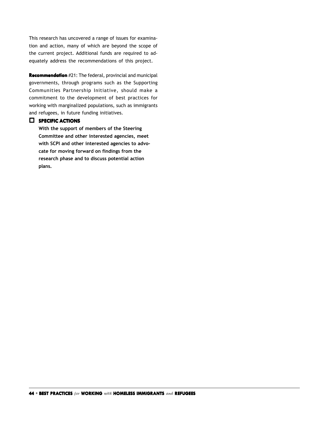<span id="page-43-0"></span>This research has uncovered a range of issues for examination and action, many of which are beyond the scope of the current project. Additional funds are required to adequately address the recommendations of this project.

**Recommendation** #21: The federal, provincial and municipal governments, through programs such as the Supporting Communities Partnership Initiative, should make a commitment to the development of best practices for working with marginalized populations, such as immigrants and refugees, in future funding initiatives.

#### **SPECIFIC ACTIONS**

**With the support of members of the Steering Committee and other interested agencies, meet with SCPI and other interested agencies to advocate for moving forward on findings from the research phase and to discuss potential action plans.**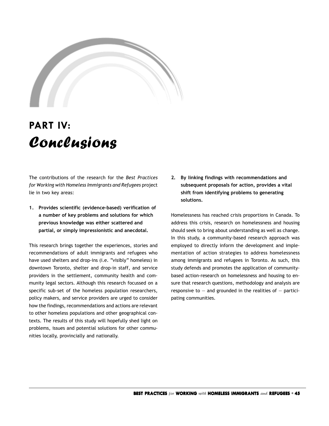

# **PART IV:** Conclusions

The contributions of the research for the *Best Practices for Working with Homeless Immigrants and Refugees* project lie in two key areas:

**1. Provides scientific (evidence-based) verification of a number of key problems and solutions for which previous knowledge was either scattered and partial, or simply impressionistic and anecdotal.**

This research brings together the experiences, stories and recommendations of adult immigrants and refugees who have used shelters and drop-ins (i.e. "visibly" homeless) in downtown Toronto, shelter and drop-in staff, and service providers in the settlement, community health and community legal sectors. Although this research focussed on a specific sub-set of the homeless population researchers, policy makers, and service providers are urged to consider how the findings, recommendations and actions are relevant to other homeless populations and other geographical contexts. The results of this study will hopefully shed light on problems, issues and potential solutions for other communities locally, provincially and nationally.

**2. By linking findings with recommendations and subsequent proposals for action, provides a vital shift from identifying problems to generating solutions.**

Homelessness has reached crisis proportions in Canada. To address this crisis, research on homelessness and housing should seek to bring about understanding as well as change. In this study, a community-based research approach was employed to directly inform the development and implementation of action strategies to address homelessness among immigrants and refugees in Toronto. As such, this study defends and promotes the application of communitybased action-research on homelessness and housing to ensure that research questions, methodology and analysis are responsive to  $-$  and grounded in the realities of  $-$  participating communities.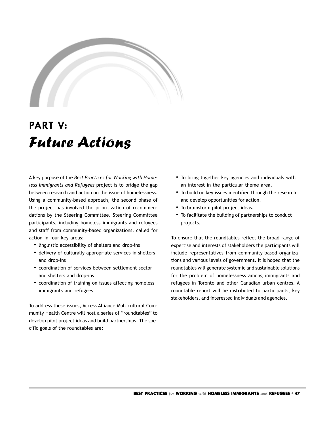<span id="page-46-0"></span>

# **PART V:** Future Actions

A key purpose of the *Best Practices for Working with Homeless Immigrants and Refugees* project is to bridge the gap between research and action on the issue of homelessness. Using a community-based approach, the second phase of the project has involved the prioritization of recommendations by the Steering Committee. Steering Committee participants, including homeless immigrants and refugees and staff from community-based organizations, called for action in four key areas:

- linguistic accessibility of shelters and drop-ins
- delivery of culturally appropriate services in shelters and drop-ins
- coordination of services between settlement sector and shelters and drop-ins
- coordination of training on issues affecting homeless immigrants and refugees

To address these issues, Access Alliance Multicultural Community Health Centre will host a series of "roundtables" to develop pilot project ideas and build partnerships. The specific goals of the roundtables are:

- To bring together key agencies and individuals with an interest in the particular theme area.
- To build on key issues identified through the research and develop opportunities for action.
- To brainstorm pilot project ideas.
- To facilitate the building of partnerships to conduct projects.

To ensure that the roundtables reflect the broad range of expertise and interests of stakeholders the participants will include representatives from community-based organizations and various levels of government. It is hoped that the roundtables will generate systemic and sustainable solutions for the problem of homelessness among immigrants and refugees in Toronto and other Canadian urban centres. A roundtable report will be distributed to participants, key stakeholders, and interested individuals and agencies.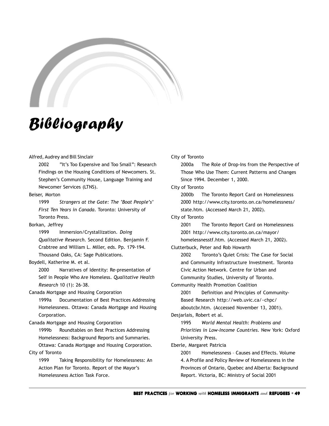<span id="page-48-0"></span>

# Bibliography

#### Alfred, Audrey and Bill Sinclair

2002 "It's Too Expensive and Too Small": Research Findings on the Housing Conditions of Newcomers. St. Stephen's Community House, Language Training and Newcomer Services (LTNS).

#### Beiser, Morton

1999 *Strangers at the Gate: The 'Boat People's' First Ten Years in Canada*. Toronto: University of Toronto Press.

#### Borkan, Jeffrey

1999 Immersion/Crystallization. *Doing Qualitative Research.* Second Edition. Benjamin F. Crabtree and William L. Miller, eds. Pp. 179-194. Thousand Oaks, CA: Sage Publications.

#### Boydell, Katherine M. et al.

2000 Narratives of Identity: Re-presentation of Self in People Who Are Homeless. *Qualitative Health Research* 10 (1): 26-38.

#### Canada Mortgage and Housing Corporation

1999a Documentation of Best Practices Addressing Homelessness. Ottawa: Canada Mortgage and Housing Corporation.

#### Canada Mortgage and Housing Corporation

1999b Roundtables on Best Practices Addressing Homelessness: Background Reports and Summaries. Ottawa: Canada Mortgage and Housing Corporation.

#### City of Toronto

1999 Taking Responsibility for Homelessness: An Action Plan for Toronto. Report of the Mayor's Homelessness Action Task Force.

#### City of Toronto

2000a The Role of Drop-Ins from the Perspective of Those Who Use Them: Current Patterns and Changes Since 1994. December 1, 2000.

#### City of Toronto

2000b The Toronto Report Card on Homelessness 2000 http://www.city.toronto.on.ca/homelessness/ state.htm. (Accessed March 21, 2002).

#### City of Toronto

2001 The Toronto Report Card on Homelessness 2001 http://www.city.toronto.on.ca/mayor/ homelessnesstf.htm. (Accessed March 21, 2002).

#### Clutterbuck, Peter and Rob Howarth

2002 Toronto's Quiet Crisis: The Case for Social and Community Infrastructure Investment. Toronto Civic Action Network. Centre for Urban and Community Studies, University of Toronto.

#### Community Health Promotion Coalition

2001 Definition and Principles of Community-Based Research http://web.uvic.ca/~chpc/

aboutcbr.htm. (Accessed November 13, 2001).

#### Desjarlais, Robert et al.

1995 *World Mental Health: Problems and Priorities in Low-Income Countries*. New York: Oxford University Press.

#### Eberle, Margaret Patricia

2001 Homelessness – Causes and Effects. Volume 4. A Profile and Policy Review of Homelessness in the Provinces of Ontario, Quebec and Alberta: Background Report. Victoria, BC: Ministry of Social 2001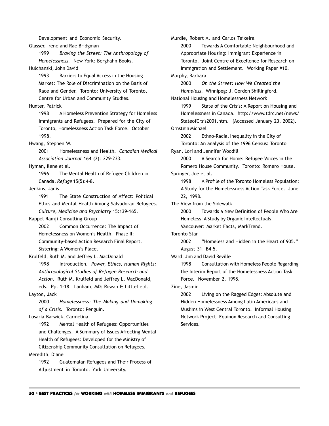<span id="page-49-0"></span>Glasser, Irene and Rae Bridgman 1999 *Braving the Street: The Anthropology of Homelessness.* New York: Berghahn Books. Hulchanski, John David 1993 Barriers to Equal Access in the Housing Market: The Role of Discrimination on the Basis of Race and Gender. Toronto: University of Toronto, Centre for Urban and Community Studies. Hunter, Patrick 1998 A Homeless Prevention Strategy for Homeless Immigrants and Refugees. Prepared for the City of Toronto, Homelessness Action Task Force. October 1998. Hwang, Stephen W. 2001 Homelessness and Health. *Canadian Medical Association Journal* 164 (2): 229-233. Hyman, Ilene et al. 1996 The Mental Health of Refugee Children in Canada. *Refuge* 15(5):4-8. Jenkins, Janis 1991 The State Construction of Affect: Political Ethos and Mental Health Among Salvadoran Refugees. *Culture, Medicine and Psychiatry* 15:139-165. Kappel Ramji Consulting Group 2002 Common Occurrence: The Impact of Homelessness on Women's Health. Phase II: Community-based Action Research Final Report. Sistering: A Women's Place. Krulfeld, Ruth M. and Jeffrey L. MacDonald 1998 Introduction. *Power, Ethics, Human Rights: Anthropological Studies of Refugee Research and Action*. Ruth M. Krulfeld and Jeffrey L. MacDonald, eds. Pp. 1-18. Lanham, MD: Rowan & Littlefield. Layton, Jack 2000 *Homelessness: The Making and Unmaking of a Crisis.* Toronto: Penguin. Losaria-Barwick, Carmelina 1992 Mental Health of Refugees: Opportunities and Challenges. A Summary of Issues Affecting Mental Health of Refugees: Developed for the Ministry of Citizenship Community Consultation on Refugees. Meredith, Diane 1992 Guatemalan Refugees and Their Process of Adjustment in Toronto. York University.

Development and Economic Security.

2000 Towards A Comfortable Neighbourhood and Appropriate Housing: Immigrant Experience in Toronto. Joint Centre of Excellence for Research on Immigration and Settlement. Working Paper #10. Murphy, Barbara 2000 *On the Street: How We Created the Homeless.* Winnipeg: J. Gordon Shillingford. National Housing and Homelessness Network 1999 State of the Crisis: A Report on Housing and Homelessness in Canada. http://www.tdrc.net/news/ StateofCrsis2001.htm. (Accessed January 23, 2002). Ornstein Michael 2002 Ethno-Racial Inequality in the City of Toronto: An analysis of the 1996 Census: Toronto Ryan, Lori and Jennifer Woodill 2000 A Search for Home: Refugee Voices in the Romero House Community.Toronto: Romero House. Springer, Joe et al. 1998 A Profile of the Toronto Homeless Population: A Study for the Homelessness Action Task Force. June 22, 1998. The View from the Sidewalk 2000 Towards a New Definition of People Who Are Homeless: A Study by Organic Intellectuals. Vancouver: Market Facts, MarkTrend. 2002 "Homeless and Hidden in the Heart of 905."

Murdie, Robert A. and Carlos Teixeira

Toronto Star

August 31, B4-5.

Ward, Jim and David Reville

1998 Consultation with Homeless People Regarding the Interim Report of the Homelessness Action Task Force. November 2, 1998.

Zine, Jasmin

2002 Living on the Ragged Edges: Absolute and Hidden Homelessness Among Latin Americans and Muslims in West Central Toronto. Informal Housing Network Project, Equinox Research and Consulting Services.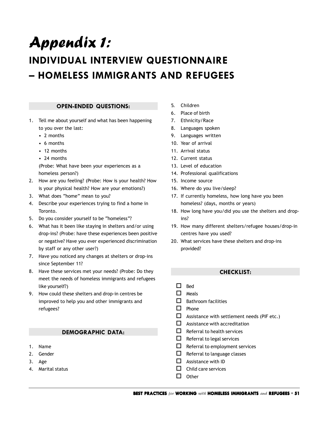# <span id="page-50-0"></span>Appendix 1:

# **INDIVIDUAL INTERVIEW QUESTIONNAIRE – HOMELESS IMMIGRANTS AND REFUGEES**

## **OPEN-ENDED QUESTIONS:**

- 1. Tell me about yourself and what has been happening to you over the last:
	- 2 months
	- 6 months
	- 12 months
	- 24 months

(Probe: What have been your experiences as a homeless person?)

- 2. How are you feeling? (Probe: How is your health? How is your physical health? How are your emotions?)
- 3. What does "home" mean to you?
- 4. Describe your experiences trying to find a home in Toronto.
- 5. Do you consider yourself to be "homeless"?
- 6. What has it been like staying in shelters and/or using drop-ins? (Probe: have these experiences been positive or negative? Have you ever experienced discrimination by staff or any other user?)
- 7. Have you noticed any changes at shelters or drop-ins since September 11?
- 8. Have these services met your needs? (Probe: Do they meet the needs of homeless immigrants and refugees like yourself?)
- 9. How could these shelters and drop-in centres be improved to help you and other immigrants and refugees?

## **DEMOGRAPHIC DATA:**

- 1. Name
- 2. Gender
- 3. Age
- 4. Marital status
- 5. Children
- 6. Place of birth
- 7. Ethnicity/Race
- 8. Languages spoken
- 9. Languages written
- 10. Year of arrival
- 11. Arrival status
- 12. Current status
- 13. Level of education
- 14. Professional qualifications
- 15. Income source
- 16. Where do you live/sleep?
- 17. If currently homeless, how long have you been homeless? (days, months or years)
- 18. How long have you/did you use the shelters and dropins?
- 19. How many different shelters/refugee houses/drop-in centres have you used?
- 20. What services have these shelters and drop-ins provided?

## **CHECKLIST:**

- $\Box$  Bed
- $\Box$  Meals
- $\Box$  Bathroom facilities
- $\Box$  Phone
- $\Box$  Assistance with settlement needs (PIF etc.)
- $\Box$  Assistance with accreditation
- $\Box$  Referral to health services
- $\Box$  Referral to legal services
- $\Box$  Referral to employment services
- $\Box$  Referral to language classes
- $\square$  Assistance with ID
- $\Box$  Child care services
- $\Box$  Other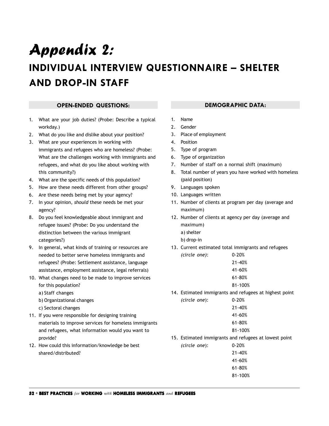# <span id="page-51-0"></span>Appendix 2: **INDIVIDUAL INTERVIEW QUESTIONNAIRE – SHELTER AND DROP-IN STAFF**

#### **OPEN-ENDED QUESTIONS:**

- 1. What are your job duties? (Probe: Describe a typical workday.)
- 2. What do you like and dislike about your position?
- 3. What are your experiences in working with immigrants and refugees who are homeless? (Probe: What are the challenges working with immigrants and refugees, and what do you like about working with this community?)
- 4. What are the specific needs of this population?
- 5. How are these needs different from other groups?
- 6. Are these needs being met by your agency?
- 7. In your opinion, *should* these needs be met your agency?
- 8. Do you feel knowledgeable about immigrant and refugee issues? (Probe: Do you understand the distinction between the various immigrant categories?)
- 9. In general, what kinds of training or resources are needed to better serve homeless immigrants and refugees? (Probe: Settlement assistance, language assistance, employment assistance, legal referrals)
- 10. What changes need to be made to improve services for this population?
	- a) Staff changes
	- b) Organizational changes
	- c) Sectoral changes
- 11. If you were responsible for designing training materials to improve services for homeless immigrants and refugees, what information would you want to provide?
- 12. How could this information/knowledge be best shared/distributed?

## **DEMOGRAPHIC DATA:**

- 1. Name
- 2. Gender
- 3. Place of employment
- 4. Position
- 5. Type of program
- 6. Type of organization
- 7. Number of staff on a normal shift (maximum)
- 8. Total number of years you have worked with homeless (paid position)
- 9. Languages spoken
- 10. Languages written
- 11. Number of clients at program per day (average and maximum)
- 12. Number of clients at agency per day (average and maximum)
	- a) shelter
	- b) drop-in
- 13. Current estimated total immigrants and refugees *(circle one)*: 0-20%

| 21-40%  |
|---------|
| 41-60%  |
| 61-80%  |
| 81-100% |

14. Estimated immigrants and refugees at highest point *(circle one*): 0-20%

21-40% 41-60% 61-80%

- 81-100%
- 15. Estimated immigrants and refugees at lowest point

*(circle one*): 0-20% 21-40% 41-60% 61-80% 81-100%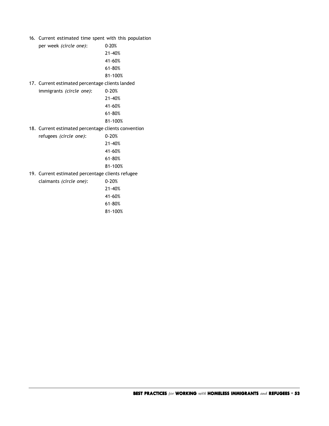16. Current estimated time spent with this population

per week *(circle one)*: 0-20% 21-40% 41-60% 61-80% 81-100%

17. Current estimated percentage clients landed immigrants *(circle one)*: 0-20%

> 21-40% 41-60% 61-80% 81-100%

18. Current estimated percentage clients convention

refugees *(circle one)*: 0-20% 21-40% 41-60% 61-80% 81-100%

19. Current estimated percentage clients refugee claimants *(circle one)*: 0-20%

> 21-40% 41-60% 61-80% 81-100%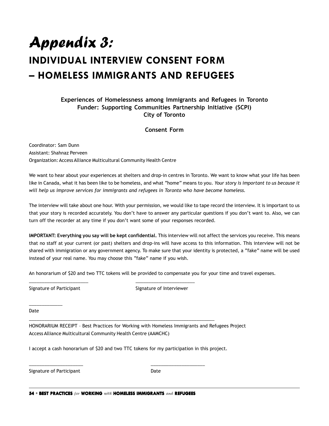# <span id="page-53-0"></span>Appendix 3: **INDIVIDUAL INTERVIEW CONSENT FORM – HOMELESS IMMIGRANTS AND REFUGEES**

# **Experiences of Homelessness among Immigrants and Refugees in Toronto Funder: Supporting Communities Partnership Initiative (SCPI) City of Toronto**

#### **Consent Form**

Coordinator: Sam Dunn Assistant: Shahnaz Perveen Organization: Access Alliance Multicultural Community Health Centre

We want to hear about your experiences at shelters and drop-in centres in Toronto. We want to know what your life has been like in Canada, what it has been like to be homeless, and what "home" means to you. *Your story is important to us because it will help us improve services for immigrants and refugees in Toronto who have become homeless.*

The interview will take about one hour. With your permission, we would like to tape record the interview. It is important to us that your story is recorded accurately. You don't have to answer any particular questions if you don't want to. Also, we can turn off the recorder at any time if you don't want some of your responses recorded.

**IMPORTANT: Everything you say will be kept confidential.** This interview will not affect the services you receive. This means that no staff at your current (or past) shelters and drop-ins will have access to this information. This interview will not be shared with immigration or any government agency. To make sure that your identity is protected, a "fake" name will be used instead of your real name. You may choose this "fake" name if you wish.

An honorarium of \$20 and two TTC tokens will be provided to compensate you for your time and travel expenses.

\_\_\_\_\_\_\_\_\_\_\_\_\_

Signature of Participant Signature of Interviewer

Date

HONORARIUM RECEIPT – Best Practices for Working with Homeless Immigrants and Refugees Project Access Alliance Multicultural Community Health Centre (AAMCHC)

I accept a cash honorarium of \$20 and two TTC tokens for my participation in this project.

\_\_\_\_\_\_\_\_\_\_\_\_\_\_\_\_\_\_\_\_\_\_\_\_\_\_\_\_\_\_\_\_\_\_\_\_\_\_\_\_\_\_\_\_\_\_\_\_\_\_\_\_\_\_\_\_\_\_\_\_\_\_\_\_\_\_\_\_\_\_\_\_

Signature of Participant **Date** Date

**54 • BEST PRACTICES** for **WORKING** with **HOMELESS IMMIGRANTS** and **REFUGEES**

 $\frac{1}{2}$  ,  $\frac{1}{2}$  ,  $\frac{1}{2}$  ,  $\frac{1}{2}$  ,  $\frac{1}{2}$  ,  $\frac{1}{2}$  ,  $\frac{1}{2}$  ,  $\frac{1}{2}$  ,  $\frac{1}{2}$  ,  $\frac{1}{2}$  ,  $\frac{1}{2}$  ,  $\frac{1}{2}$  ,  $\frac{1}{2}$  ,  $\frac{1}{2}$  ,  $\frac{1}{2}$  ,  $\frac{1}{2}$  ,  $\frac{1}{2}$  ,  $\frac{1}{2}$  ,  $\frac{1$ 

\_\_\_\_\_\_\_\_\_\_\_\_\_\_\_\_\_\_\_\_\_\_\_ \_\_\_\_\_\_\_\_\_\_\_\_\_\_\_\_\_\_\_\_\_\_\_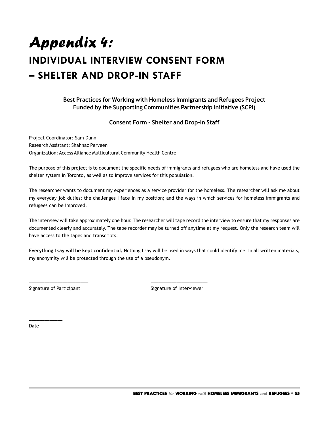# <span id="page-54-0"></span>Appendix 4: **INDIVIDUAL INTERVIEW CONSENT FORM – SHELTER AND DROP-IN STAFF**

**Best Practices for Working with Homeless Immigrants and Refugees Project Funded by the Supporting Communities Partnership Initiative (SCPI)**

**Consent Form – Shelter and Drop-In Staff**

Project Coordinator: Sam Dunn Research Assistant: Shahnaz Perveen Organization: Access Alliance Multicultural Community Health Centre

\_\_\_\_\_\_\_\_\_\_\_\_\_\_\_\_\_\_\_\_\_\_\_ \_\_\_\_\_\_\_\_\_\_\_\_\_\_\_\_\_\_\_\_\_\_

The purpose of this project is to document the specific needs of immigrants and refugees who are homeless and have used the shelter system in Toronto, as well as to improve services for this population.

The researcher wants to document my experiences as a service provider for the homeless. The researcher will ask me about my everyday job duties; the challenges I face in my position; and the ways in which services for homeless immigrants and refugees can be improved.

The interview will take approximately one hour. The researcher will tape record the interview to ensure that my responses are documented clearly and accurately. The tape recorder may be turned off anytime at my request. Only the research team will have access to the tapes and transcripts.

**Everything I say will be kept confidential.** Nothing I say will be used in ways that could identify me. In all written materials, my anonymity will be protected through the use of a pseudonym.

Signature of Participant Signature of Interviewer

Date

\_\_\_\_\_\_\_\_\_\_\_\_\_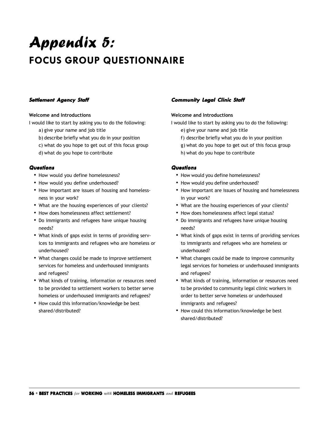# Appendix 5: **FOCUS GROUP QUESTIONNAIRE**

## **Settlement Agency Staff**

#### **Welcome and Introductions**

I would like to start by asking you to do the following:

- a) give your name and job title
- b) describe briefly what you do in your position
- c) what do you hope to get out of this focus group
- d) what do you hope to contribute

#### **Questions**

- How would you define homelessness?
- How would you define underhoused?
- How important are issues of housing and homelessness in your work?
- What are the housing experiences of your clients?
- How does homelessness affect settlement?
- Do immigrants and refugees have unique housing needs?
- What kinds of gaps exist in terms of providing services to immigrants and refugees who are homeless or underhoused?
- What changes could be made to improve settlement services for homeless and underhoused immigrants and refugees?
- What kinds of training, information or resources need to be provided to settlement workers to better serve homeless or underhoused immigrants and refugees?
- How could this information/knowledge be best shared/distributed?

# **Community Legal Clinic Staff Community Legal Staff**

#### **Welcome and Introductions**

I would like to start by asking you to do the following:

- e) give your name and job title
- f) describe briefly what you do in your position
- g) what do you hope to get out of this focus group
- h) what do you hope to contribute

#### **Questions**

- How would you define homelessness?
- How would you define underhoused?
- How important are issues of housing and homelessness in your work?
- What are the housing experiences of your clients?
- How does homelessness affect legal status?
- Do immigrants and refugees have unique housing needs?
- What kinds of gaps exist in terms of providing services to immigrants and refugees who are homeless or underhoused?
- What changes could be made to improve community legal services for homeless or underhoused immigrants and refugees?
- What kinds of training, information or resources need to be provided to community legal clinic workers in order to better serve homeless or underhoused immigrants and refugees?
- How could this information/knowledge be best shared/distributed?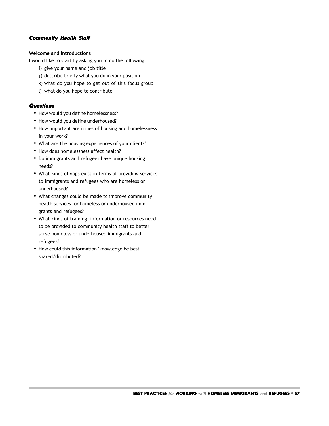#### <span id="page-56-0"></span>**Community Health Staff**

## **Welcome and Introductions**

I would like to start by asking you to do the following:

- i) give your name and job title
- j) describe briefly what you do in your position
- k) what do you hope to get out of this focus group
- l) what do you hope to contribute

#### **Questions**

- How would you define homelessness?
- How would you define underhoused?
- How important are issues of housing and homelessness in your work?
- What are the housing experiences of your clients?
- How does homelessness affect health?
- Do immigrants and refugees have unique housing needs?
- What kinds of gaps exist in terms of providing services to immigrants and refugees who are homeless or underhoused?
- What changes could be made to improve community health services for homeless or underhoused immigrants and refugees?
- What kinds of training, information or resources need to be provided to community health staff to better serve homeless or underhoused immigrants and refugees?
- How could this information/knowledge be best shared/distributed?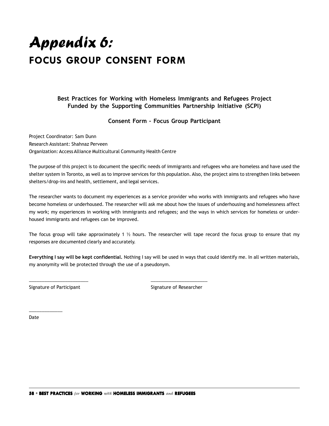# <span id="page-57-0"></span>Appendix 6: **FOCUS GROUP CONSENT FORM**

**Best Practices for Working with Homeless Immigrants and Refugees Project Funded by the Supporting Communities Partnership Initiative (SCPI)**

**Consent Form – Focus Group Participant**

Project Coordinator: Sam Dunn Research Assistant: Shahnaz Perveen Organization: Access Alliance Multicultural Community Health Centre

The purpose of this project is to document the specific needs of immigrants and refugees who are homeless and have used the shelter system in Toronto, as well as to improve services for this population. Also, the project aims to strengthen links between shelters/drop-ins and health, settlement, and legal services.

The researcher wants to document my experiences as a service provider who works with immigrants and refugees who have become homeless or underhoused. The researcher will ask me about how the issues of underhousing and homelessness affect my work; my experiences in working with immigrants and refugees; and the ways in which services for homeless or underhoused immigrants and refugees can be improved.

The focus group will take approximately 1  $\frac{1}{2}$  hours. The researcher will tape record the focus group to ensure that my responses are documented clearly and accurately.

**Everything I say will be kept confidential.** Nothing I say will be used in ways that could identify me. In all written materials, my anonymity will be protected through the use of a pseudonym.

Signature of Participant Signature of Researcher

Date

\_\_\_\_\_\_\_\_\_\_\_\_\_

\_\_\_\_\_\_\_\_\_\_\_\_\_\_\_\_\_\_\_\_\_\_\_ \_\_\_\_\_\_\_\_\_\_\_\_\_\_\_\_\_\_\_\_\_\_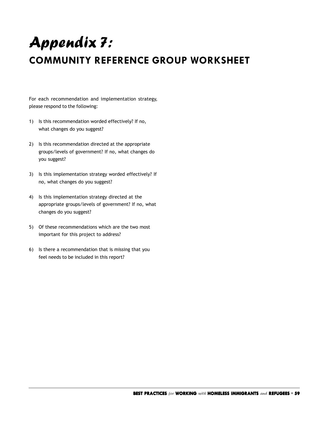# <span id="page-58-0"></span>Appendix 7: **COMMUNITY REFERENCE GROUP WORKSHEET**

For each recommendation and implementation strategy, please respond to the following:

- 1) Is this recommendation worded effectively? If no, what changes do you suggest?
- 2) Is this recommendation directed at the appropriate groups/levels of government? If no, what changes do you suggest?
- 3) Is this implementation strategy worded effectively? If no, what changes do you suggest?
- 4) Is this implementation strategy directed at the appropriate groups/levels of government? If no, what changes do you suggest?
- 5) Of these recommendations which are the two most important for this project to address?
- 6) Is there a recommendation that is missing that you feel needs to be included in this report?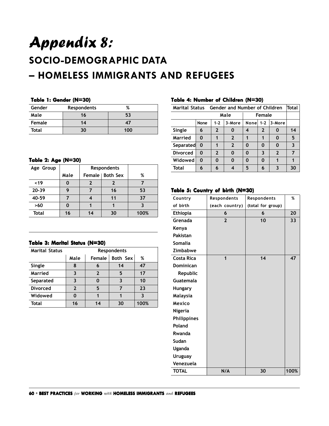# Appendix 8: **SOCIO-DEMOGRAPHIC DATA – HOMELESS IMMIGRANTS AND REFUGEES**

#### **Table 1: Gender (N=30) Table Gender (N=30)**

| Gender | Respondents | %   |
|--------|-------------|-----|
| Male   | 16          | 53  |
| Female | 14          | 47  |
| Total  | 30          | 100 |

#### **Table 2: Age (N=30) Age**

| Age Group |      |                   |    |      |
|-----------|------|-------------------|----|------|
|           | Male | Female   Both Sex |    | %    |
| $19$      |      |                   |    |      |
| $20 - 39$ | q    |                   | 16 | 53   |
| 40-59     |      |                   | 11 | 37   |
| >60       |      |                   |    |      |
| Total     | 16   | 14                | 30 | 100% |

#### **Table 3: Marital Status (N=30) 3: Marital (N=30)**

| <b>Marital Status</b> | <b>Respondents</b>              |               |    |      |  |  |
|-----------------------|---------------------------------|---------------|----|------|--|--|
|                       | Both Sex<br>Male<br>Female<br>% |               |    |      |  |  |
| Single                | 8                               |               | 14 | 47   |  |  |
| Married               | 3                               | $\mathfrak z$ | 5  | 17   |  |  |
| Separated             | 3                               |               |    | 10   |  |  |
| <b>Divorced</b>       | $\mathfrak z$                   | 5             |    | 23   |  |  |
| Widowed               | 0                               |               |    | ર    |  |  |
| <b>Total</b>          | 16                              | 14            | 30 | 100% |  |  |

#### **Table 4: Number of Children (N=30) Table Number of Children (N=30)**

| Marital Status Gender and Number of Children |          |              |              |            |                |                | Total |
|----------------------------------------------|----------|--------------|--------------|------------|----------------|----------------|-------|
| Male<br>Female                               |          |              |              |            |                |                |       |
|                                              | None     | $1 - 2$      | 3-More       | None $1-2$ |                | 3-More         |       |
| Single                                       | 6        | $\mathbf{2}$ | O            | 4          | $\overline{2}$ |                | 14    |
| Married                                      | 0        |              | $\mathbf{2}$ |            |                | Ω              | 5     |
| <b>Separated</b>                             | $\bf{0}$ |              | $\mathbf{2}$ | 0          | 0              | O              | 3     |
| <b>Divorced</b>                              | 0        | $\mathbf{z}$ | 0            | 0          | 3              | $\overline{2}$ |       |
| Widowed                                      | 0        |              | 0            | 0          | Ω              |                |       |
| Total                                        | 6        | 6            | 4            | 5          | 6              | 3              | 30    |

#### **Table 5: Country of birth (N=30) th (N=30)**

| Country           | Respondents    | Respondents       | %    |
|-------------------|----------------|-------------------|------|
| of birth          | (each country) | (total for group) |      |
| <b>Ethiopia</b>   | 6              | 6                 | 20   |
| Grenada           | $\overline{2}$ | 10                | 33   |
| Kenya             |                |                   |      |
| Pakistan          |                |                   |      |
| <b>Somalia</b>    |                |                   |      |
| Zimbabwe          |                |                   |      |
| <b>Costa Rica</b> | 1              | 14                | 47   |
| <b>Dominican</b>  |                |                   |      |
| Republic          |                |                   |      |
| Guatemala         |                |                   |      |
| <b>Hungary</b>    |                |                   |      |
| Malaysia          |                |                   |      |
| Mexico            |                |                   |      |
| <b>Nigeria</b>    |                |                   |      |
| Philippines       |                |                   |      |
| Poland            |                |                   |      |
| Rwanda            |                |                   |      |
| Sudan             |                |                   |      |
| Uganda            |                |                   |      |
| <b>Uruguay</b>    |                |                   |      |
| Venezuela         |                |                   |      |
| <b>TOTAL</b>      | N/A            | 30                | 100% |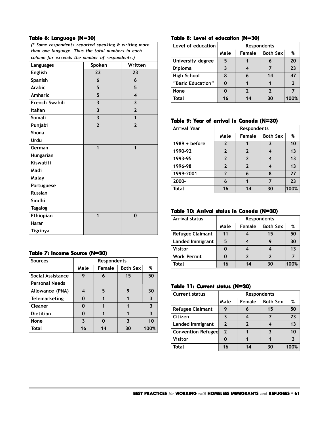#### **Table 6: Language (N=30) 6: Language**  *(\* Some respondents reported speaking & writing more*

| some respondents reported speaking a writing more<br>than one language. Thus the total numbers in each |                         |                         |  |  |  |  |
|--------------------------------------------------------------------------------------------------------|-------------------------|-------------------------|--|--|--|--|
| column far exceeds the number of respondents.)                                                         |                         |                         |  |  |  |  |
| Spoken<br>Written<br>Languages                                                                         |                         |                         |  |  |  |  |
| <b>English</b>                                                                                         | 23                      | 23                      |  |  |  |  |
| Spanish                                                                                                | 6                       | 6                       |  |  |  |  |
| <b>Arabic</b>                                                                                          | 5                       | 5                       |  |  |  |  |
| Amharic                                                                                                | 5                       | $\overline{\mathbf{4}}$ |  |  |  |  |
| <b>French Swahili</b>                                                                                  | 3                       | $\overline{\mathbf{3}}$ |  |  |  |  |
| Italian                                                                                                | 3                       | $\overline{2}$          |  |  |  |  |
| Somali                                                                                                 | $\overline{\mathbf{3}}$ | 1                       |  |  |  |  |
| Punjabi                                                                                                | $\overline{2}$          | $\overline{2}$          |  |  |  |  |
| <b>Shona</b>                                                                                           |                         |                         |  |  |  |  |
| Urdu                                                                                                   |                         |                         |  |  |  |  |
| German                                                                                                 | $\mathbf{1}$            | $\mathbf 1$             |  |  |  |  |
| Hungarian                                                                                              |                         |                         |  |  |  |  |
| Kiswatiti                                                                                              |                         |                         |  |  |  |  |
| Madi                                                                                                   |                         |                         |  |  |  |  |
| Malay                                                                                                  |                         |                         |  |  |  |  |
| Portuguese                                                                                             |                         |                         |  |  |  |  |
| <b>Russian</b>                                                                                         |                         |                         |  |  |  |  |
| Sindhi                                                                                                 |                         |                         |  |  |  |  |
| <b>Tagalog</b>                                                                                         |                         |                         |  |  |  |  |
| Ethiopian                                                                                              | 1                       | 0                       |  |  |  |  |
| Harar                                                                                                  |                         |                         |  |  |  |  |
| <b>Tigrinya</b>                                                                                        |                         |                         |  |  |  |  |

#### **Table 7: Income Source (N=30) 7: Income (N=30)**

| <b>Sources</b>        | <b>Respondents</b> |        |                 |              |  |
|-----------------------|--------------------|--------|-----------------|--------------|--|
|                       | Male               | Female | <b>Both Sex</b> | %            |  |
| Social Assistance     | 9                  | 6      | 15              | 50           |  |
| <b>Personal Needs</b> |                    |        |                 |              |  |
| Allowance (PNA)       | 4                  | 5      | 9               | 30           |  |
| <b>Telemarketing</b>  | 0                  |        |                 |              |  |
| Cleaner               | O                  |        |                 | ર            |  |
| <b>Dietitian</b>      | 0                  |        | 1               | $\mathbf{3}$ |  |
| None                  | 3                  | O      | 3               | 10           |  |
| <b>Total</b>          | 16                 | 14     | 30              | 100%         |  |

#### **Table 8: Level of education (N=30) Table 8: education (N=30)**

| Level of education | Respondents                |    |    |      |
|--------------------|----------------------------|----|----|------|
|                    | Both Sex<br>Female<br>Male |    |    |      |
| University degree  | 5                          |    |    | 20   |
| <b>Diploma</b>     | 3                          |    |    | 23   |
| High School        | 8                          | 6  | 14 | 47   |
| "Basic Education"  | O                          |    |    |      |
| None               | ი                          | 2  | 2  |      |
| Total              | 16                         | 14 | 30 | 100% |

#### **Table 9: Year of arrival in Canada (N=30)**

| <b>Arrival Year</b> | <b>Respondents</b> |                |                 |      |
|---------------------|--------------------|----------------|-----------------|------|
|                     | Male               | Female         | <b>Both Sex</b> | %    |
| $1989 + before$     | 2                  |                |                 | 10   |
| 1990-92             | $\mathbf{2}$       | $\overline{2}$ | 4               | 13   |
| 1993-95             | $\mathbf{2}$       | $\mathbf{2}$   | 4               | 13   |
| 1996-98             | $\overline{2}$     | $\mathbf{2}$   | 4               | 13   |
| 1999-2001           | $\overline{2}$     | 6              | 8               | 27   |
| 2000-               | 6                  | 1              | 7               | 23   |
| <b>Total</b>        | 16                 | 14             | 30              | 100% |

# **Table 10: Arrival status in Canada (N=30) Table 10: Arrival status Canada (N=30)**

| <b>Arrival status</b>   | <b>Respondents</b>                     |    |    |      |  |
|-------------------------|----------------------------------------|----|----|------|--|
|                         | <b>Both Sex</b><br>Female<br>%<br>Male |    |    |      |  |
| <b>Refugee Claimant</b> | 11                                     |    | 15 | 50   |  |
| Landed Immigrant        | 5                                      |    |    | 30   |  |
| <b>Visitor</b>          |                                        |    |    | 13   |  |
| <b>Work Permit</b>      |                                        | 7  | າ  |      |  |
| Total                   | 16                                     | 14 | 30 | 100% |  |

#### **Table 11: Current status (N=30) Table 11: status (N=30)**

| <b>Current status</b>     | <b>Respondents</b> |        |                 |      |
|---------------------------|--------------------|--------|-----------------|------|
|                           | Male               | Female | <b>Both Sex</b> | %    |
| <b>Refugee Claimant</b>   | 9                  | 6      | 15              | 50   |
| Citizen                   | 3                  |        |                 | 23   |
| <b>Landed Immigrant</b>   | 2                  | 2      |                 | 13   |
| <b>Convention Refugee</b> | $\mathbf{2}$       |        |                 | 10   |
| <b>Visitor</b>            |                    |        |                 |      |
| Total                     | 16                 | 14     | 30              | 100% |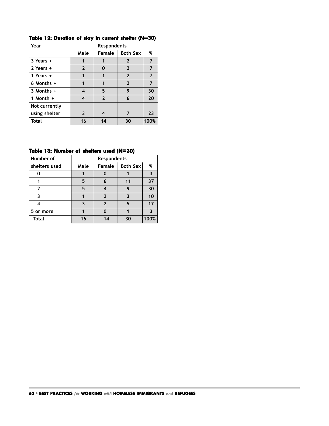| Year           | <b>Respondents</b> |              |                 |      |
|----------------|--------------------|--------------|-----------------|------|
|                | Male               | Female       | <b>Both Sex</b> | %    |
| $3$ Years $+$  | 1                  |              | $\mathbf{2}$    | 7    |
| 2 Years +      | $\mathbf{2}$       | 0            | $\mathbf{2}$    | 7    |
| 1 Years $+$    | 1                  |              | $\overline{2}$  |      |
| $6$ Months $+$ | 1                  | 1            | $\overline{2}$  | 7    |
| $3$ Months $+$ | 4                  | 5            | 9               | 30   |
| 1 Month $+$    | 4                  | $\mathbf{2}$ | 6               | 20   |
| Not currently  |                    |              |                 |      |
| using shelter  | 3                  | 4            | 7               | 23   |
| Total          | 16                 | 14           | 30              | 100% |

**Table 12: Duration of stay in current shelter (N=30) Table 12: of current shelter (N=30)**

#### Table 13: Number of shelters used (N=30)

| Number of     | Respondents |    |    |      |
|---------------|-------------|----|----|------|
| shelters used | Male        | %  |    |      |
|               |             |    |    |      |
|               | 5           | 6  | 11 | 37   |
| 2             | 5           |    | 9  | 30   |
|               |             | 2  |    | 10   |
|               |             | 2  | 5  | 17   |
| 5 or more     |             |    |    |      |
| <b>Total</b>  | 16          | 14 | 30 | 100% |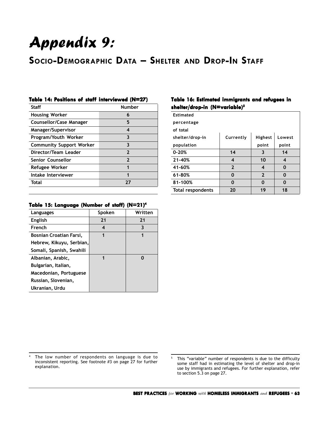# Appendix 9:

# **SOCIO-DEMOGRAPHIC DATA – SHELTER AND DROP-IN STAFF**

#### **Table 14: Positions of staff interviewed (N=27)**

| <b>Number</b>  |
|----------------|
| 6              |
| 5              |
| 4              |
| 3              |
| 3              |
| $\overline{2}$ |
| $\mathbf{2}$   |
| 1              |
| 1              |
| 77             |
|                |

#### Table 15: Language (Number of staff) (N=21)<sup>4</sup>

| Languages                | Spoken | Written |
|--------------------------|--------|---------|
| <b>English</b>           | 21     | 21      |
| French                   | 4      | 3       |
| Bosnian Croatian Farsi,  | 1      | 1       |
| Hebrew, Kikuyu, Serbian, |        |         |
| Somali, Spanish, Swahili |        |         |
| Albanian, Arabic,        | 1      | ŋ       |
| Bulgarian, Italian,      |        |         |
| Macedonian, Portuguese   |        |         |
| Russian, Slovenian,      |        |         |
| Ukranian, Urdu           |        |         |

# **Table 16: Estimated immigrants and refugees in shelter/drop-in (N=variable) shelter/drop-in (N=variable)5**

| <b>Estimated</b>  |                |                |        |
|-------------------|----------------|----------------|--------|
| percentage        |                |                |        |
| of total          |                |                |        |
| shelter/drop-in   | Currently      | <b>Highest</b> | Lowest |
| population        |                | point          | point  |
| $0 - 20%$         | 14             | 3              | 14     |
| 21-40%            | 4              | 10             | 4      |
| 41-60%            | $\overline{2}$ | 4              | 0      |
| 61-80%            | 0              | $\overline{2}$ | 0      |
| 81-100%           | $\Omega$       | $\bf{0}$       | 0      |
| Total respondents | 20             | 19             | 18     |

<sup>4</sup> The low number of respondents on language is due to inconsistent reporting. See footnote #3 on page 27 for further explanation.

<sup>5</sup> This "variable" number of respondents is due to the difficulty some staff had in estimating the level of shelter and drop-in use by immigrants and refugees. For further explanation, refer to section 5.3 on page 27.